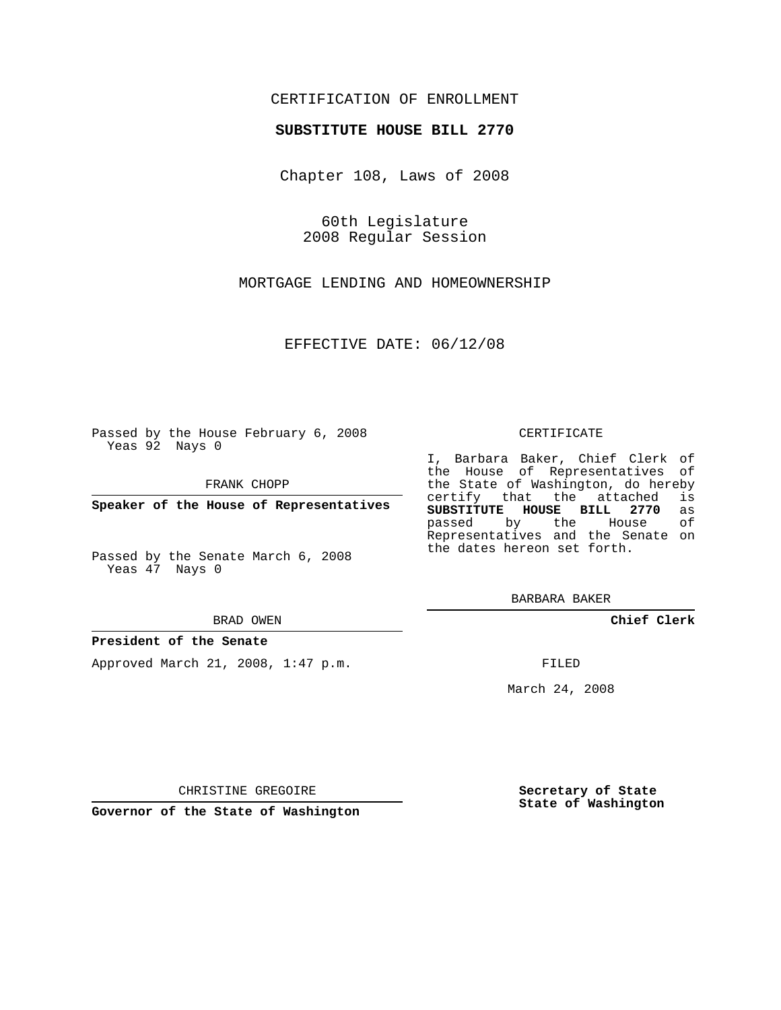## CERTIFICATION OF ENROLLMENT

## **SUBSTITUTE HOUSE BILL 2770**

Chapter 108, Laws of 2008

60th Legislature 2008 Regular Session

MORTGAGE LENDING AND HOMEOWNERSHIP

EFFECTIVE DATE: 06/12/08

Passed by the House February 6, 2008 Yeas 92 Nays 0

FRANK CHOPP

**Speaker of the House of Representatives**

Passed by the Senate March 6, 2008 Yeas 47 Nays 0

#### BRAD OWEN

### **President of the Senate**

Approved March 21, 2008, 1:47 p.m.

#### CERTIFICATE

I, Barbara Baker, Chief Clerk of the House of Representatives of the State of Washington, do hereby certify that the attached is **SUBSTITUTE HOUSE BILL 2770** as passed by the House Representatives and the Senate on the dates hereon set forth.

BARBARA BAKER

**Chief Clerk**

FILED

March 24, 2008

CHRISTINE GREGOIRE

**Governor of the State of Washington**

**Secretary of State State of Washington**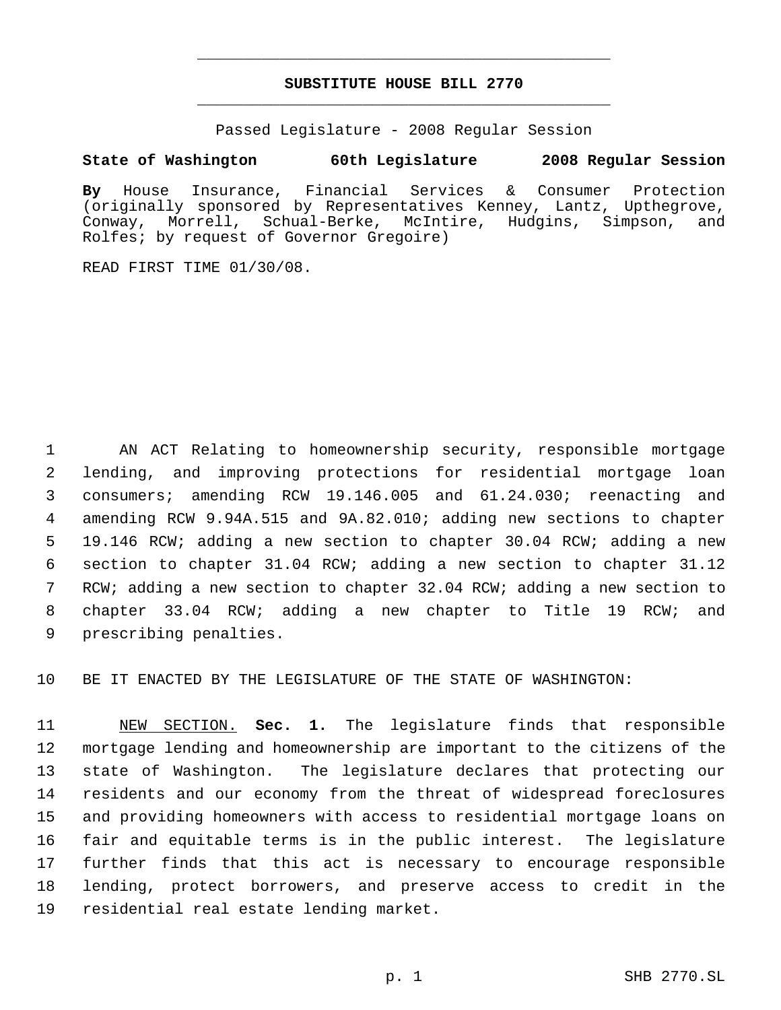# **SUBSTITUTE HOUSE BILL 2770** \_\_\_\_\_\_\_\_\_\_\_\_\_\_\_\_\_\_\_\_\_\_\_\_\_\_\_\_\_\_\_\_\_\_\_\_\_\_\_\_\_\_\_\_\_

\_\_\_\_\_\_\_\_\_\_\_\_\_\_\_\_\_\_\_\_\_\_\_\_\_\_\_\_\_\_\_\_\_\_\_\_\_\_\_\_\_\_\_\_\_

Passed Legislature - 2008 Regular Session

# **State of Washington 60th Legislature 2008 Regular Session**

**By** House Insurance, Financial Services & Consumer Protection (originally sponsored by Representatives Kenney, Lantz, Upthegrove, Conway, Morrell, Schual-Berke, McIntire, Hudgins, Simpson, and Rolfes; by request of Governor Gregoire)

READ FIRST TIME 01/30/08.

 AN ACT Relating to homeownership security, responsible mortgage lending, and improving protections for residential mortgage loan consumers; amending RCW 19.146.005 and 61.24.030; reenacting and amending RCW 9.94A.515 and 9A.82.010; adding new sections to chapter 19.146 RCW; adding a new section to chapter 30.04 RCW; adding a new section to chapter 31.04 RCW; adding a new section to chapter 31.12 RCW; adding a new section to chapter 32.04 RCW; adding a new section to chapter 33.04 RCW; adding a new chapter to Title 19 RCW; and prescribing penalties.

BE IT ENACTED BY THE LEGISLATURE OF THE STATE OF WASHINGTON:

 NEW SECTION. **Sec. 1.** The legislature finds that responsible mortgage lending and homeownership are important to the citizens of the state of Washington. The legislature declares that protecting our residents and our economy from the threat of widespread foreclosures and providing homeowners with access to residential mortgage loans on fair and equitable terms is in the public interest. The legislature further finds that this act is necessary to encourage responsible lending, protect borrowers, and preserve access to credit in the residential real estate lending market.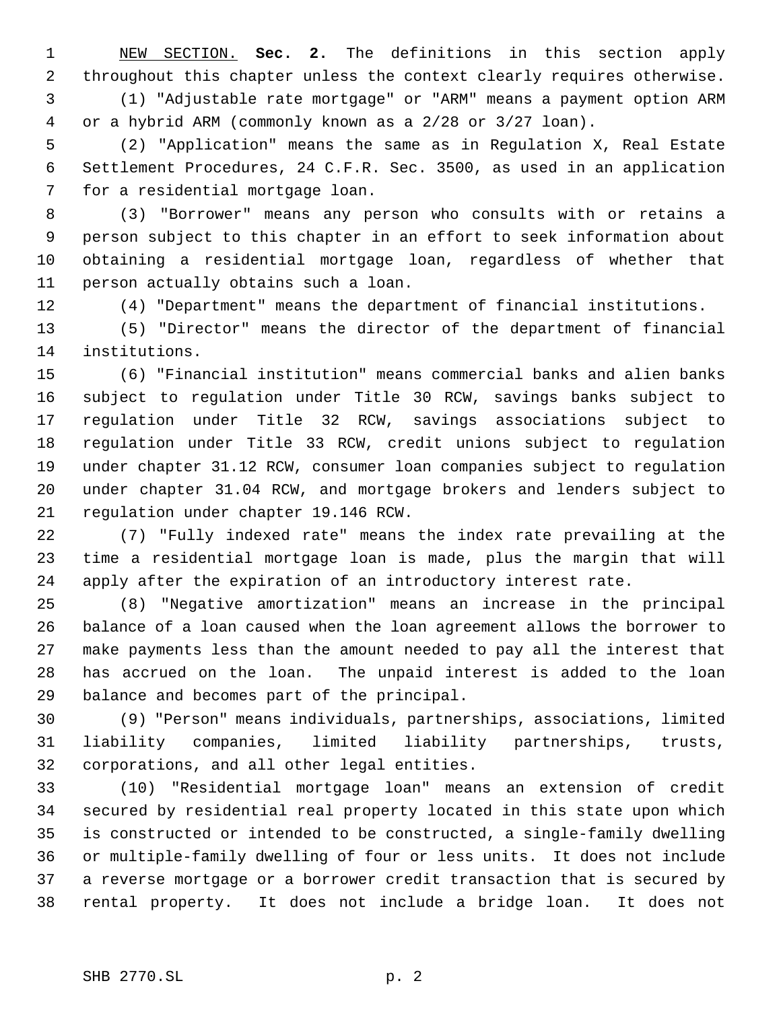NEW SECTION. **Sec. 2.** The definitions in this section apply throughout this chapter unless the context clearly requires otherwise. (1) "Adjustable rate mortgage" or "ARM" means a payment option ARM or a hybrid ARM (commonly known as a 2/28 or 3/27 loan).

 (2) "Application" means the same as in Regulation X, Real Estate Settlement Procedures, 24 C.F.R. Sec. 3500, as used in an application for a residential mortgage loan.

 (3) "Borrower" means any person who consults with or retains a person subject to this chapter in an effort to seek information about obtaining a residential mortgage loan, regardless of whether that person actually obtains such a loan.

(4) "Department" means the department of financial institutions.

 (5) "Director" means the director of the department of financial institutions.

 (6) "Financial institution" means commercial banks and alien banks subject to regulation under Title 30 RCW, savings banks subject to regulation under Title 32 RCW, savings associations subject to regulation under Title 33 RCW, credit unions subject to regulation under chapter 31.12 RCW, consumer loan companies subject to regulation under chapter 31.04 RCW, and mortgage brokers and lenders subject to regulation under chapter 19.146 RCW.

 (7) "Fully indexed rate" means the index rate prevailing at the time a residential mortgage loan is made, plus the margin that will apply after the expiration of an introductory interest rate.

 (8) "Negative amortization" means an increase in the principal balance of a loan caused when the loan agreement allows the borrower to make payments less than the amount needed to pay all the interest that has accrued on the loan. The unpaid interest is added to the loan balance and becomes part of the principal.

 (9) "Person" means individuals, partnerships, associations, limited liability companies, limited liability partnerships, trusts, corporations, and all other legal entities.

 (10) "Residential mortgage loan" means an extension of credit secured by residential real property located in this state upon which is constructed or intended to be constructed, a single-family dwelling or multiple-family dwelling of four or less units. It does not include a reverse mortgage or a borrower credit transaction that is secured by rental property. It does not include a bridge loan. It does not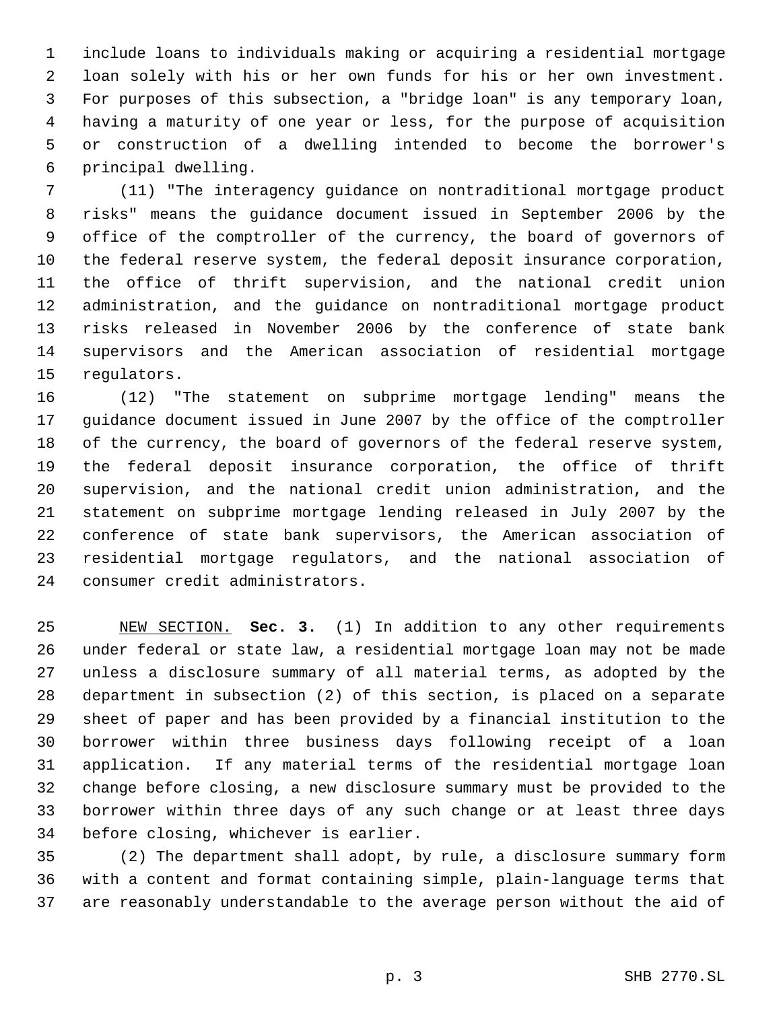include loans to individuals making or acquiring a residential mortgage loan solely with his or her own funds for his or her own investment. For purposes of this subsection, a "bridge loan" is any temporary loan, having a maturity of one year or less, for the purpose of acquisition or construction of a dwelling intended to become the borrower's principal dwelling.

 (11) "The interagency guidance on nontraditional mortgage product risks" means the guidance document issued in September 2006 by the office of the comptroller of the currency, the board of governors of the federal reserve system, the federal deposit insurance corporation, the office of thrift supervision, and the national credit union administration, and the guidance on nontraditional mortgage product risks released in November 2006 by the conference of state bank supervisors and the American association of residential mortgage regulators.

 (12) "The statement on subprime mortgage lending" means the guidance document issued in June 2007 by the office of the comptroller of the currency, the board of governors of the federal reserve system, the federal deposit insurance corporation, the office of thrift supervision, and the national credit union administration, and the statement on subprime mortgage lending released in July 2007 by the conference of state bank supervisors, the American association of residential mortgage regulators, and the national association of consumer credit administrators.

 NEW SECTION. **Sec. 3.** (1) In addition to any other requirements under federal or state law, a residential mortgage loan may not be made unless a disclosure summary of all material terms, as adopted by the department in subsection (2) of this section, is placed on a separate sheet of paper and has been provided by a financial institution to the borrower within three business days following receipt of a loan application. If any material terms of the residential mortgage loan change before closing, a new disclosure summary must be provided to the borrower within three days of any such change or at least three days before closing, whichever is earlier.

 (2) The department shall adopt, by rule, a disclosure summary form with a content and format containing simple, plain-language terms that are reasonably understandable to the average person without the aid of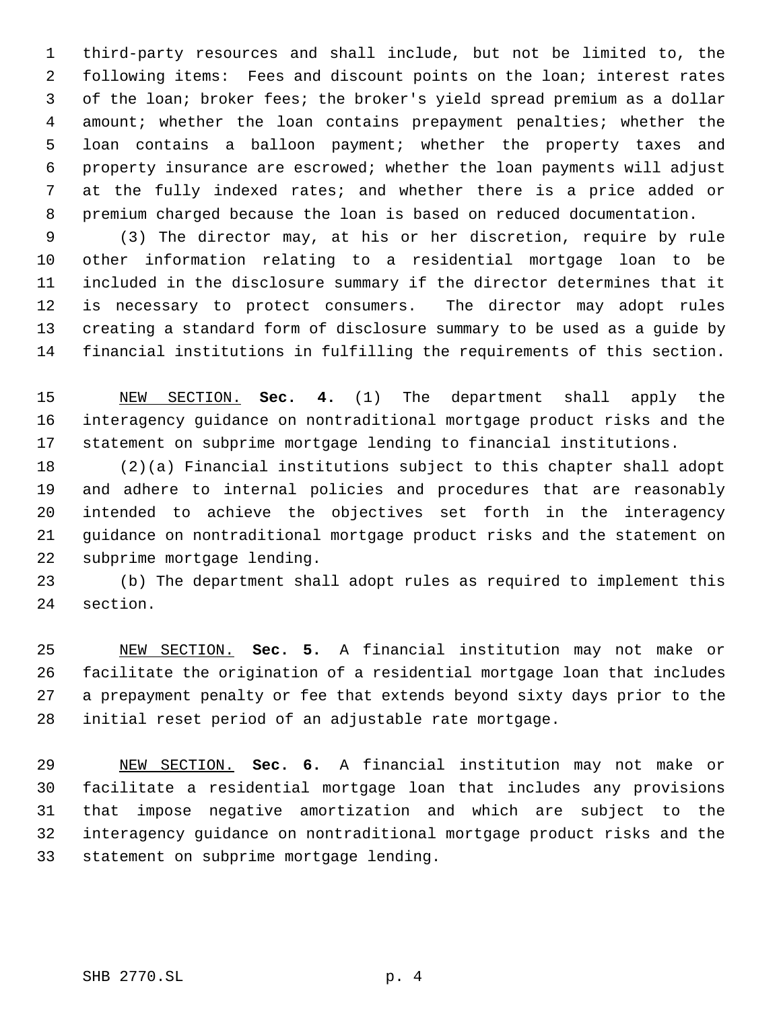third-party resources and shall include, but not be limited to, the following items: Fees and discount points on the loan; interest rates of the loan; broker fees; the broker's yield spread premium as a dollar amount; whether the loan contains prepayment penalties; whether the loan contains a balloon payment; whether the property taxes and property insurance are escrowed; whether the loan payments will adjust at the fully indexed rates; and whether there is a price added or premium charged because the loan is based on reduced documentation.

 (3) The director may, at his or her discretion, require by rule other information relating to a residential mortgage loan to be included in the disclosure summary if the director determines that it is necessary to protect consumers. The director may adopt rules creating a standard form of disclosure summary to be used as a guide by financial institutions in fulfilling the requirements of this section.

 NEW SECTION. **Sec. 4.** (1) The department shall apply the interagency guidance on nontraditional mortgage product risks and the statement on subprime mortgage lending to financial institutions.

 (2)(a) Financial institutions subject to this chapter shall adopt and adhere to internal policies and procedures that are reasonably intended to achieve the objectives set forth in the interagency guidance on nontraditional mortgage product risks and the statement on subprime mortgage lending.

 (b) The department shall adopt rules as required to implement this section.

 NEW SECTION. **Sec. 5.** A financial institution may not make or facilitate the origination of a residential mortgage loan that includes a prepayment penalty or fee that extends beyond sixty days prior to the initial reset period of an adjustable rate mortgage.

 NEW SECTION. **Sec. 6.** A financial institution may not make or facilitate a residential mortgage loan that includes any provisions that impose negative amortization and which are subject to the interagency guidance on nontraditional mortgage product risks and the statement on subprime mortgage lending.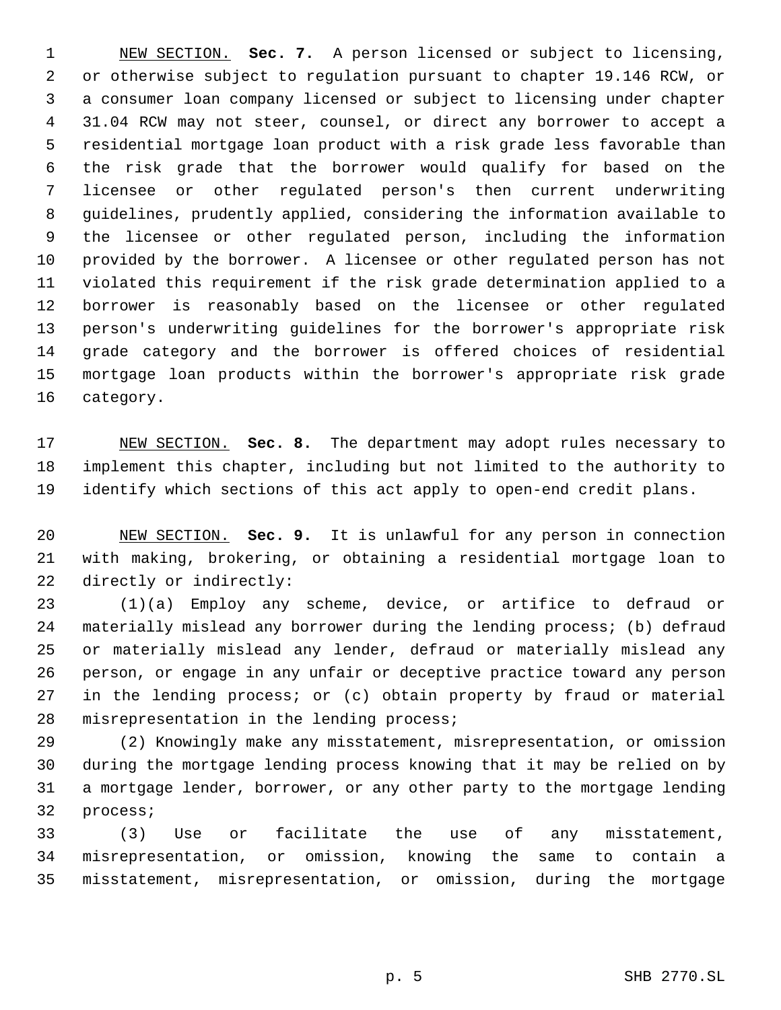NEW SECTION. **Sec. 7.** A person licensed or subject to licensing, or otherwise subject to regulation pursuant to chapter 19.146 RCW, or a consumer loan company licensed or subject to licensing under chapter 31.04 RCW may not steer, counsel, or direct any borrower to accept a residential mortgage loan product with a risk grade less favorable than the risk grade that the borrower would qualify for based on the licensee or other regulated person's then current underwriting guidelines, prudently applied, considering the information available to the licensee or other regulated person, including the information provided by the borrower. A licensee or other regulated person has not violated this requirement if the risk grade determination applied to a borrower is reasonably based on the licensee or other regulated person's underwriting guidelines for the borrower's appropriate risk grade category and the borrower is offered choices of residential mortgage loan products within the borrower's appropriate risk grade category.

 NEW SECTION. **Sec. 8.** The department may adopt rules necessary to implement this chapter, including but not limited to the authority to identify which sections of this act apply to open-end credit plans.

 NEW SECTION. **Sec. 9.** It is unlawful for any person in connection with making, brokering, or obtaining a residential mortgage loan to directly or indirectly:

 (1)(a) Employ any scheme, device, or artifice to defraud or materially mislead any borrower during the lending process; (b) defraud or materially mislead any lender, defraud or materially mislead any person, or engage in any unfair or deceptive practice toward any person in the lending process; or (c) obtain property by fraud or material misrepresentation in the lending process;

 (2) Knowingly make any misstatement, misrepresentation, or omission during the mortgage lending process knowing that it may be relied on by a mortgage lender, borrower, or any other party to the mortgage lending process;

 (3) Use or facilitate the use of any misstatement, misrepresentation, or omission, knowing the same to contain a misstatement, misrepresentation, or omission, during the mortgage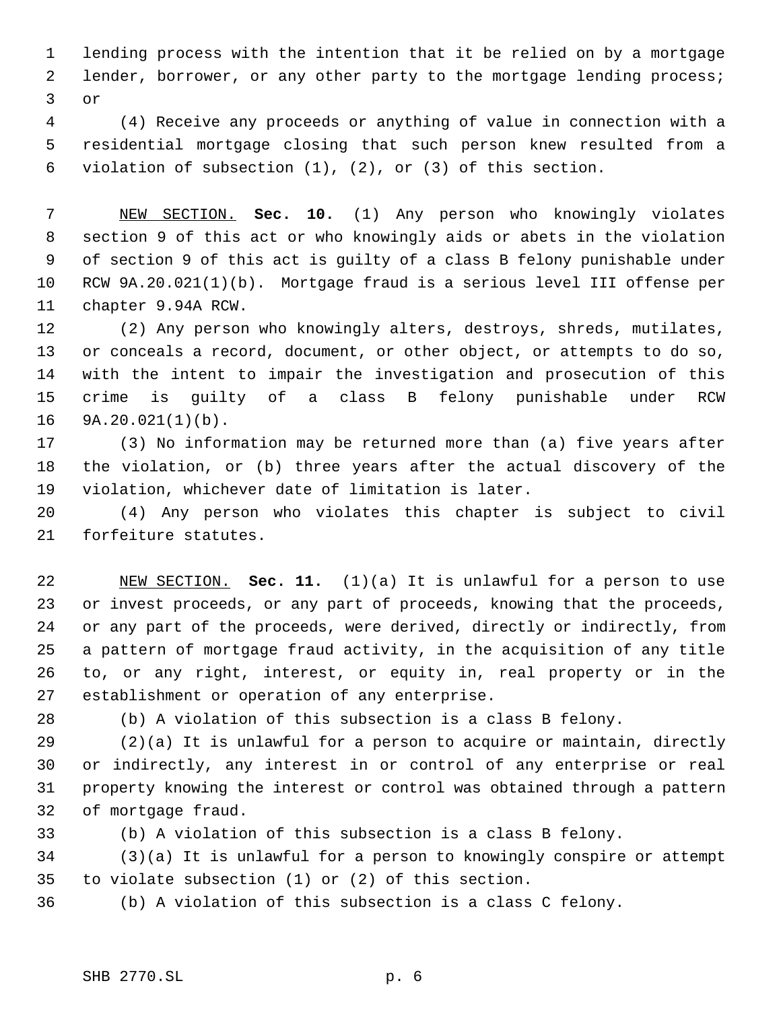lending process with the intention that it be relied on by a mortgage lender, borrower, or any other party to the mortgage lending process; or

 (4) Receive any proceeds or anything of value in connection with a residential mortgage closing that such person knew resulted from a violation of subsection (1), (2), or (3) of this section.

 NEW SECTION. **Sec. 10.** (1) Any person who knowingly violates section 9 of this act or who knowingly aids or abets in the violation of section 9 of this act is guilty of a class B felony punishable under RCW 9A.20.021(1)(b). Mortgage fraud is a serious level III offense per chapter 9.94A RCW.

 (2) Any person who knowingly alters, destroys, shreds, mutilates, or conceals a record, document, or other object, or attempts to do so, with the intent to impair the investigation and prosecution of this crime is guilty of a class B felony punishable under RCW 9A.20.021(1)(b).

 (3) No information may be returned more than (a) five years after the violation, or (b) three years after the actual discovery of the violation, whichever date of limitation is later.

 (4) Any person who violates this chapter is subject to civil forfeiture statutes.

 NEW SECTION. **Sec. 11.** (1)(a) It is unlawful for a person to use or invest proceeds, or any part of proceeds, knowing that the proceeds, or any part of the proceeds, were derived, directly or indirectly, from a pattern of mortgage fraud activity, in the acquisition of any title to, or any right, interest, or equity in, real property or in the establishment or operation of any enterprise.

(b) A violation of this subsection is a class B felony.

 (2)(a) It is unlawful for a person to acquire or maintain, directly or indirectly, any interest in or control of any enterprise or real property knowing the interest or control was obtained through a pattern of mortgage fraud.

(b) A violation of this subsection is a class B felony.

 (3)(a) It is unlawful for a person to knowingly conspire or attempt to violate subsection (1) or (2) of this section.

(b) A violation of this subsection is a class C felony.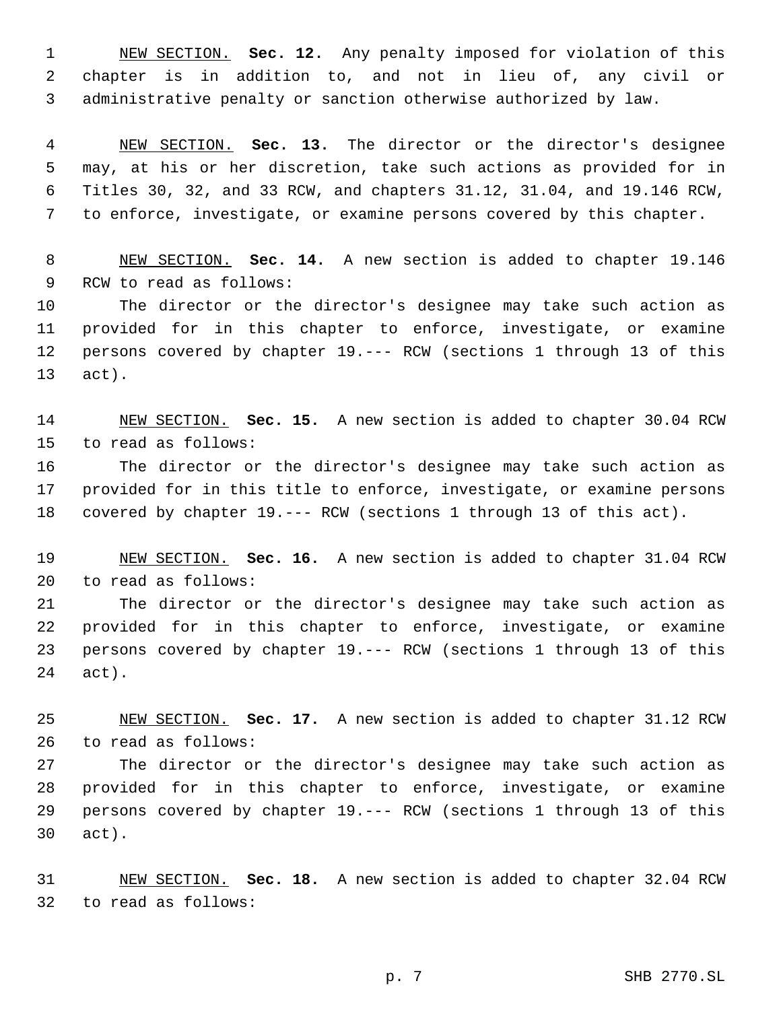NEW SECTION. **Sec. 12.** Any penalty imposed for violation of this chapter is in addition to, and not in lieu of, any civil or administrative penalty or sanction otherwise authorized by law.

 NEW SECTION. **Sec. 13.** The director or the director's designee may, at his or her discretion, take such actions as provided for in Titles 30, 32, and 33 RCW, and chapters 31.12, 31.04, and 19.146 RCW, to enforce, investigate, or examine persons covered by this chapter.

 NEW SECTION. **Sec. 14.** A new section is added to chapter 19.146 RCW to read as follows:

 The director or the director's designee may take such action as provided for in this chapter to enforce, investigate, or examine persons covered by chapter 19.--- RCW (sections 1 through 13 of this act).

 NEW SECTION. **Sec. 15.** A new section is added to chapter 30.04 RCW to read as follows:

 The director or the director's designee may take such action as provided for in this title to enforce, investigate, or examine persons covered by chapter 19.--- RCW (sections 1 through 13 of this act).

 NEW SECTION. **Sec. 16.** A new section is added to chapter 31.04 RCW to read as follows:

 The director or the director's designee may take such action as provided for in this chapter to enforce, investigate, or examine persons covered by chapter 19.--- RCW (sections 1 through 13 of this act).

 NEW SECTION. **Sec. 17.** A new section is added to chapter 31.12 RCW to read as follows:

 The director or the director's designee may take such action as provided for in this chapter to enforce, investigate, or examine persons covered by chapter 19.--- RCW (sections 1 through 13 of this act).

 NEW SECTION. **Sec. 18.** A new section is added to chapter 32.04 RCW to read as follows: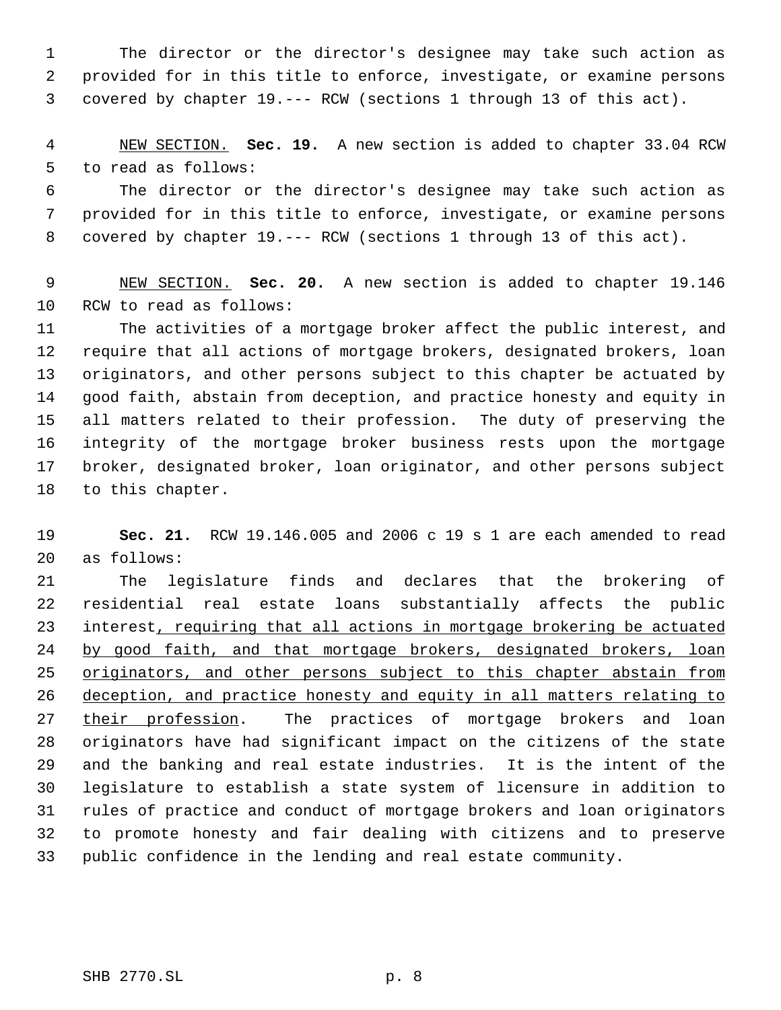The director or the director's designee may take such action as provided for in this title to enforce, investigate, or examine persons covered by chapter 19.--- RCW (sections 1 through 13 of this act).

 NEW SECTION. **Sec. 19.** A new section is added to chapter 33.04 RCW to read as follows:

 The director or the director's designee may take such action as provided for in this title to enforce, investigate, or examine persons covered by chapter 19.--- RCW (sections 1 through 13 of this act).

 NEW SECTION. **Sec. 20.** A new section is added to chapter 19.146 RCW to read as follows:

 The activities of a mortgage broker affect the public interest, and require that all actions of mortgage brokers, designated brokers, loan originators, and other persons subject to this chapter be actuated by good faith, abstain from deception, and practice honesty and equity in all matters related to their profession. The duty of preserving the integrity of the mortgage broker business rests upon the mortgage broker, designated broker, loan originator, and other persons subject to this chapter.

 **Sec. 21.** RCW 19.146.005 and 2006 c 19 s 1 are each amended to read as follows:

 The legislature finds and declares that the brokering of residential real estate loans substantially affects the public 23 interest, requiring that all actions in mortgage brokering be actuated 24 by good faith, and that mortgage brokers, designated brokers, loan 25 originators, and other persons subject to this chapter abstain from deception, and practice honesty and equity in all matters relating to 27 their profession. The practices of mortgage brokers and loan originators have had significant impact on the citizens of the state and the banking and real estate industries. It is the intent of the legislature to establish a state system of licensure in addition to rules of practice and conduct of mortgage brokers and loan originators to promote honesty and fair dealing with citizens and to preserve public confidence in the lending and real estate community.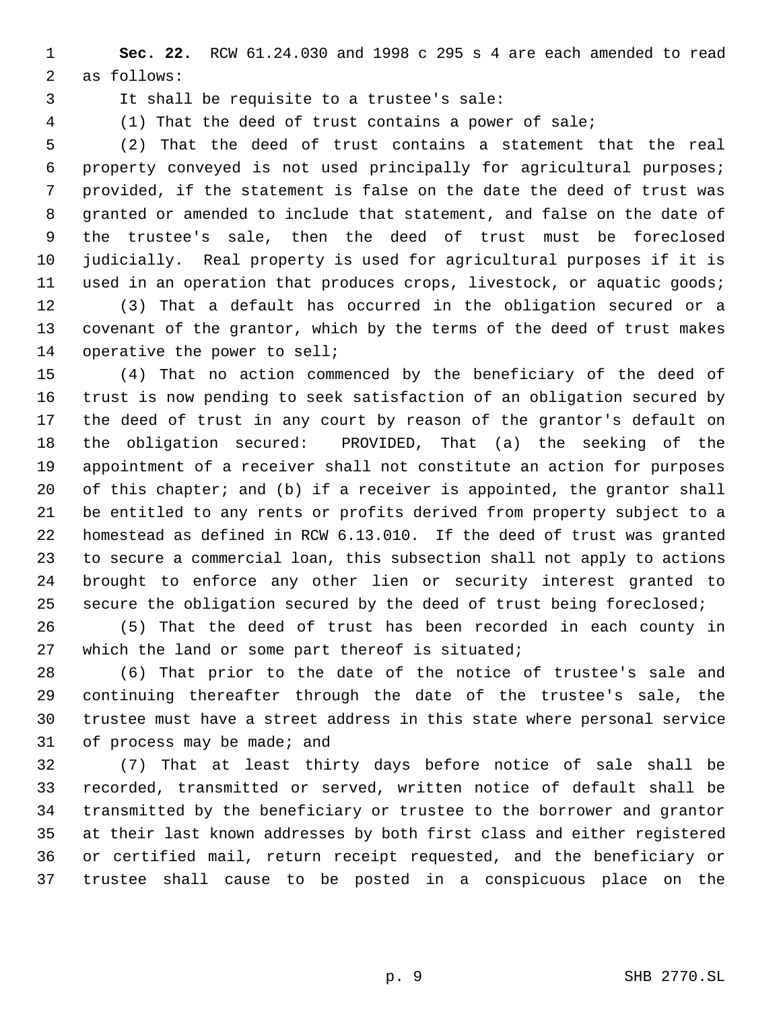**Sec. 22.** RCW 61.24.030 and 1998 c 295 s 4 are each amended to read as follows:

It shall be requisite to a trustee's sale:

(1) That the deed of trust contains a power of sale;

 (2) That the deed of trust contains a statement that the real property conveyed is not used principally for agricultural purposes; provided, if the statement is false on the date the deed of trust was granted or amended to include that statement, and false on the date of the trustee's sale, then the deed of trust must be foreclosed judicially. Real property is used for agricultural purposes if it is used in an operation that produces crops, livestock, or aquatic goods; (3) That a default has occurred in the obligation secured or a covenant of the grantor, which by the terms of the deed of trust makes operative the power to sell;

 (4) That no action commenced by the beneficiary of the deed of trust is now pending to seek satisfaction of an obligation secured by the deed of trust in any court by reason of the grantor's default on the obligation secured: PROVIDED, That (a) the seeking of the appointment of a receiver shall not constitute an action for purposes 20 of this chapter; and (b) if a receiver is appointed, the grantor shall be entitled to any rents or profits derived from property subject to a homestead as defined in RCW 6.13.010. If the deed of trust was granted to secure a commercial loan, this subsection shall not apply to actions brought to enforce any other lien or security interest granted to secure the obligation secured by the deed of trust being foreclosed;

 (5) That the deed of trust has been recorded in each county in which the land or some part thereof is situated;

 (6) That prior to the date of the notice of trustee's sale and continuing thereafter through the date of the trustee's sale, the trustee must have a street address in this state where personal service of process may be made; and

 (7) That at least thirty days before notice of sale shall be recorded, transmitted or served, written notice of default shall be transmitted by the beneficiary or trustee to the borrower and grantor at their last known addresses by both first class and either registered or certified mail, return receipt requested, and the beneficiary or trustee shall cause to be posted in a conspicuous place on the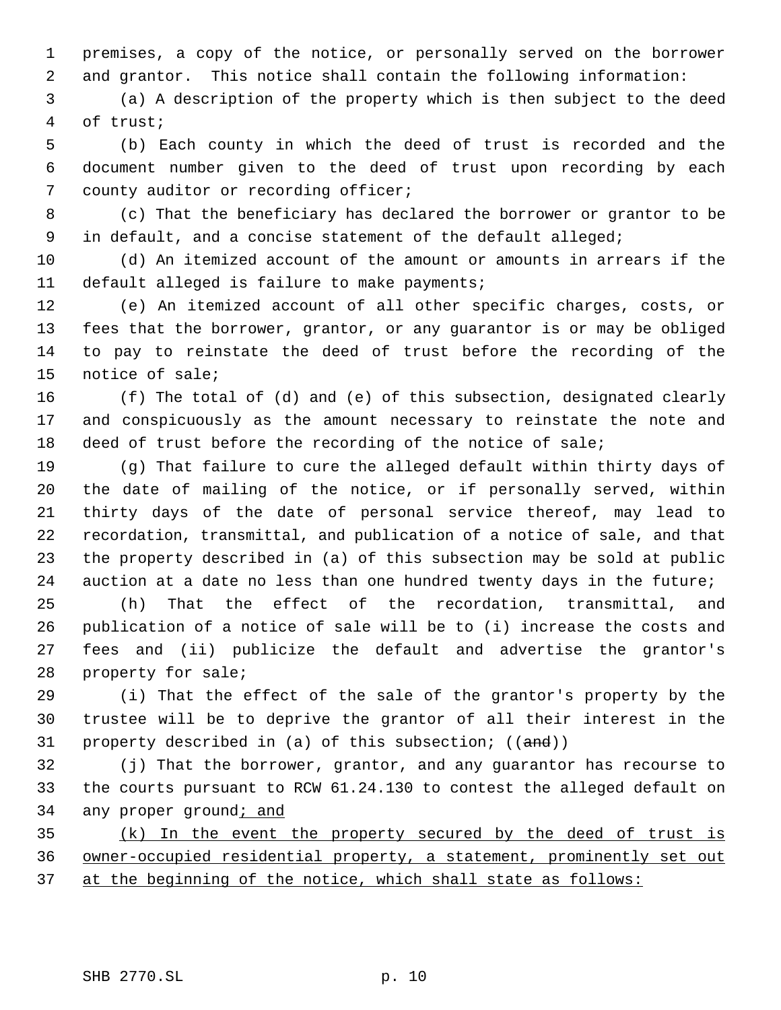premises, a copy of the notice, or personally served on the borrower and grantor. This notice shall contain the following information:

 (a) A description of the property which is then subject to the deed of trust;

 (b) Each county in which the deed of trust is recorded and the document number given to the deed of trust upon recording by each county auditor or recording officer;

 (c) That the beneficiary has declared the borrower or grantor to be 9 in default, and a concise statement of the default alleged;

 (d) An itemized account of the amount or amounts in arrears if the default alleged is failure to make payments;

 (e) An itemized account of all other specific charges, costs, or fees that the borrower, grantor, or any guarantor is or may be obliged to pay to reinstate the deed of trust before the recording of the notice of sale;

 (f) The total of (d) and (e) of this subsection, designated clearly and conspicuously as the amount necessary to reinstate the note and deed of trust before the recording of the notice of sale;

 (g) That failure to cure the alleged default within thirty days of the date of mailing of the notice, or if personally served, within thirty days of the date of personal service thereof, may lead to recordation, transmittal, and publication of a notice of sale, and that the property described in (a) of this subsection may be sold at public auction at a date no less than one hundred twenty days in the future;

 (h) That the effect of the recordation, transmittal, and publication of a notice of sale will be to (i) increase the costs and fees and (ii) publicize the default and advertise the grantor's property for sale;

 (i) That the effect of the sale of the grantor's property by the trustee will be to deprive the grantor of all their interest in the 31 property described in (a) of this subsection; ((and))

 (j) That the borrower, grantor, and any guarantor has recourse to the courts pursuant to RCW 61.24.130 to contest the alleged default on 34 any proper ground; and

 (k) In the event the property secured by the deed of trust is owner-occupied residential property, a statement, prominently set out at the beginning of the notice, which shall state as follows: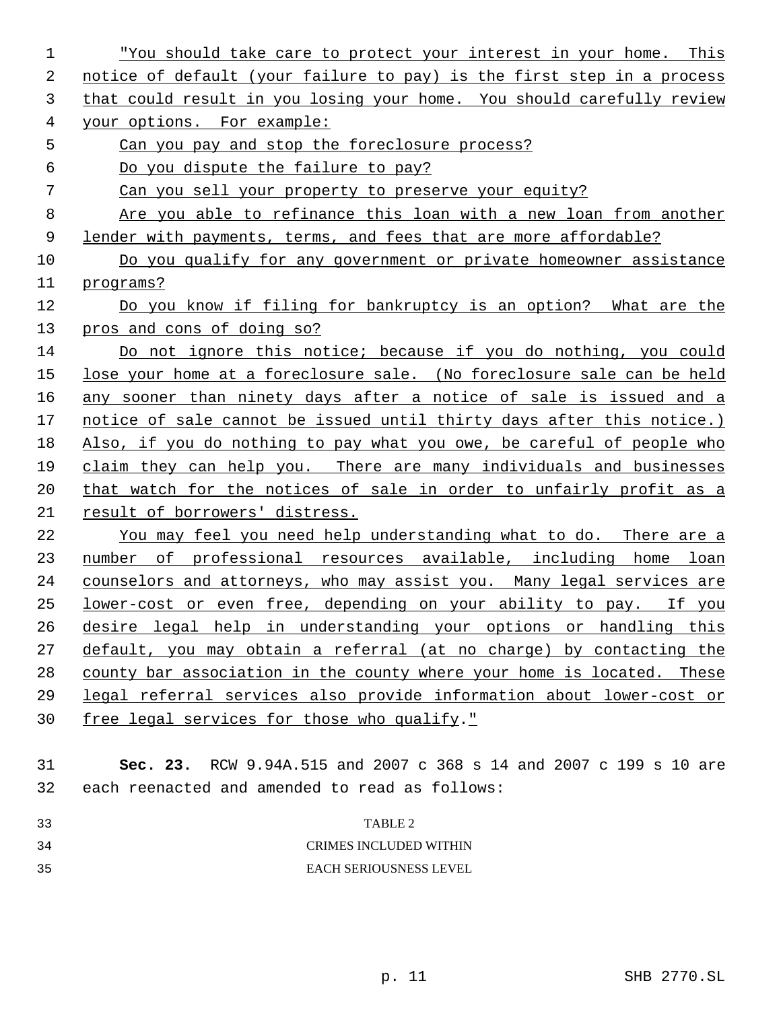| 1  | "You should take care to protect your interest in your home. This      |
|----|------------------------------------------------------------------------|
| 2  | notice of default (your failure to pay) is the first step in a process |
| 3  | that could result in you losing your home. You should carefully review |
| 4  | your options. For example:                                             |
| 5  | Can you pay and stop the foreclosure process?                          |
| 6  | Do you dispute the failure to pay?                                     |
| 7  | Can you sell your property to preserve your equity?                    |
| 8  | Are you able to refinance this loan with a new loan from another       |
| 9  | lender with payments, terms, and fees that are more affordable?        |
| 10 | Do you qualify for any government or private homeowner assistance      |
| 11 | programs?                                                              |
| 12 | Do you know if filing for bankruptcy is an option? What are the        |
| 13 | pros and cons of doing so?                                             |
| 14 | Do not ignore this notice; because if you do nothing, you could        |
| 15 | lose your home at a foreclosure sale. (No foreclosure sale can be held |
| 16 | any sooner than ninety days after a notice of sale is issued and a     |
| 17 | notice of sale cannot be issued until thirty days after this notice.)  |
| 18 | Also, if you do nothing to pay what you owe, be careful of people who  |
| 19 | claim they can help you. There are many individuals and businesses     |
| 20 | that watch for the notices of sale in order to unfairly profit as a    |
| 21 | result of borrowers' distress.                                         |
| 22 | You may feel you need help understanding what to do. There are a       |
| 23 | number of professional resources available, including home loan        |
| 24 | counselors and attorneys, who may assist you. Many legal services are  |
| 25 | lower-cost or even free, depending on your ability to pay. If you      |
| 26 | desire legal help in understanding your options or handling this       |
| 27 | default, you may obtain a referral (at no charge) by contacting the    |
| 28 | county bar association in the county where your home is located. These |
| 29 | legal referral services also provide information about lower-cost or   |
| 30 | free legal services for those who qualify."                            |
|    |                                                                        |
| 31 | Sec. 23. RCW 9.94A.515 and 2007 c 368 s 14 and 2007 c 199 s 10 are     |
| 32 | each reenacted and amended to read as follows:                         |
| 33 | TABLE 2                                                                |
| 34 | <b>CRIMES INCLUDED WITHIN</b>                                          |
| 35 | EACH SERIOUSNESS LEVEL                                                 |
|    |                                                                        |
|    |                                                                        |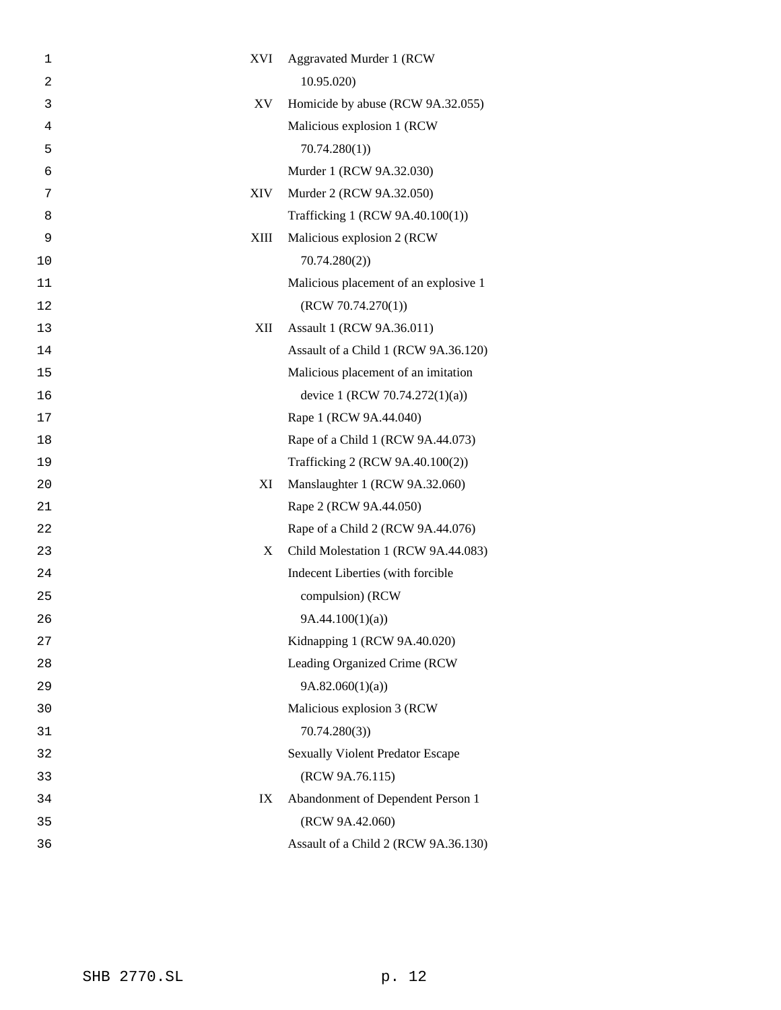| 1  | XVI         | Aggravated Murder 1 (RCW                |
|----|-------------|-----------------------------------------|
| 2  |             | 10.95.020                               |
| 3  | XV.         | Homicide by abuse (RCW 9A.32.055)       |
| 4  |             | Malicious explosion 1 (RCW              |
| 5  |             | 70.74.280(1)                            |
| 6  |             | Murder 1 (RCW 9A.32.030)                |
| 7  | XIV         | Murder 2 (RCW 9A.32.050)                |
| 8  |             | Trafficking 1 (RCW 9A.40.100(1))        |
| 9  | <b>XIII</b> | Malicious explosion 2 (RCW              |
| 10 |             | 70.74.280(2)                            |
| 11 |             | Malicious placement of an explosive 1   |
| 12 |             | (RCW 70.74.270(1))                      |
| 13 | XII         | Assault 1 (RCW 9A.36.011)               |
| 14 |             | Assault of a Child 1 (RCW 9A.36.120)    |
| 15 |             | Malicious placement of an imitation     |
| 16 |             | device 1 (RCW 70.74.272(1)(a))          |
| 17 |             | Rape 1 (RCW 9A.44.040)                  |
| 18 |             | Rape of a Child 1 (RCW 9A.44.073)       |
| 19 |             | Trafficking 2 (RCW 9A.40.100(2))        |
| 20 | XI          | Manslaughter 1 (RCW 9A.32.060)          |
| 21 |             | Rape 2 (RCW 9A.44.050)                  |
| 22 |             | Rape of a Child 2 (RCW 9A.44.076)       |
| 23 | X           | Child Molestation 1 (RCW 9A.44.083)     |
| 24 |             | Indecent Liberties (with forcible       |
| 25 |             | compulsion) (RCW                        |
| 26 |             | 9A.44.100(1)(a)                         |
| 27 |             | Kidnapping 1 (RCW 9A.40.020)            |
| 28 |             | Leading Organized Crime (RCW            |
| 29 |             | 9A.82.060(1)(a)                         |
| 30 |             | Malicious explosion 3 (RCW              |
| 31 |             | 70.74.280(3)                            |
| 32 |             | <b>Sexually Violent Predator Escape</b> |
| 33 |             | (RCW 9A.76.115)                         |
| 34 | IX          | Abandonment of Dependent Person 1       |
| 35 |             | (RCW 9A.42.060)                         |
| 36 |             | Assault of a Child 2 (RCW 9A.36.130)    |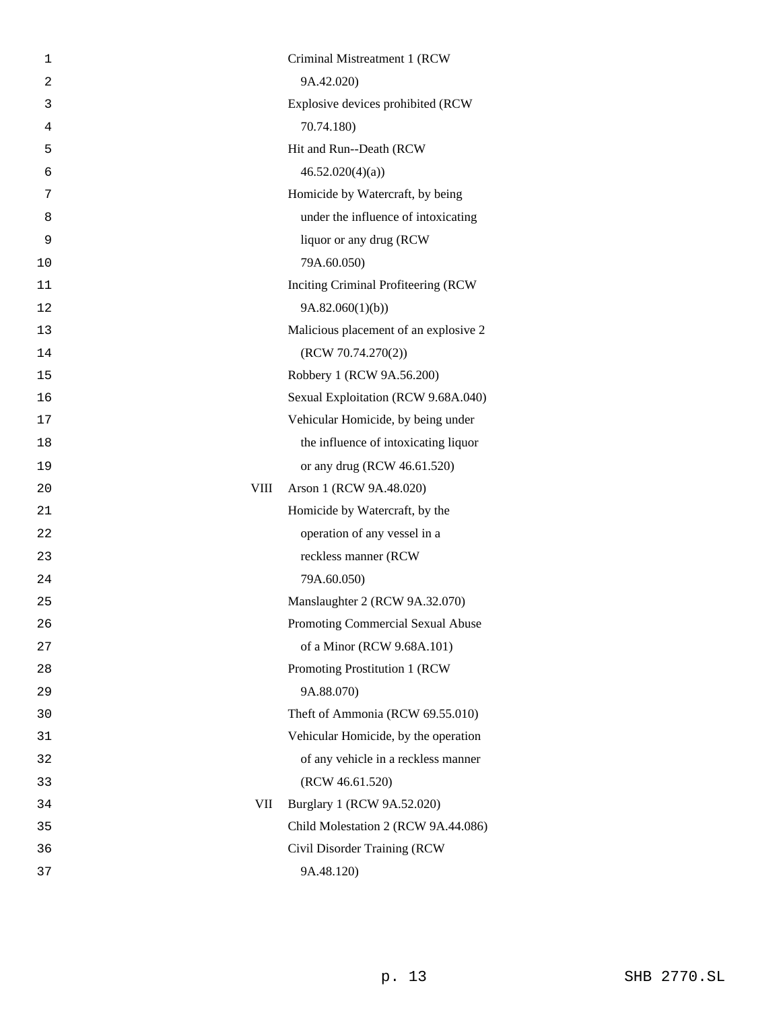| 1              | Criminal Mistreatment 1 (RCW          |
|----------------|---------------------------------------|
| $\overline{2}$ | 9A.42.020)                            |
| 3              | Explosive devices prohibited (RCW     |
| 4              | 70.74.180)                            |
| 5              | Hit and Run--Death (RCW               |
| 6              | 46.52.020(4)(a)                       |
| 7              | Homicide by Watercraft, by being      |
| 8              | under the influence of intoxicating   |
| 9              | liquor or any drug (RCW               |
| 10             | 79A.60.050)                           |
| 11             | Inciting Criminal Profiteering (RCW   |
| 12             | 9A.82.060(1)(b)                       |
| 13             | Malicious placement of an explosive 2 |
| 14             | (RCW 70.74.270(2))                    |
| 15             | Robbery 1 (RCW 9A.56.200)             |
| 16             | Sexual Exploitation (RCW 9.68A.040)   |
| 17             | Vehicular Homicide, by being under    |
| 18             | the influence of intoxicating liquor  |
| 19             | or any drug (RCW 46.61.520)           |
| 20             | VIII<br>Arson 1 (RCW 9A.48.020)       |
| 21             | Homicide by Watercraft, by the        |
| 22             | operation of any vessel in a          |
| 23             | reckless manner (RCW                  |
| 24             | 79A.60.050)                           |
| 25             | Manslaughter 2 (RCW 9A.32.070)        |
| 26             | Promoting Commercial Sexual Abuse     |
| 27             | of a Minor (RCW 9.68A.101)            |
| 28             | Promoting Prostitution 1 (RCW)        |
| 29             | 9A.88.070)                            |
| 30             | Theft of Ammonia (RCW 69.55.010)      |
| 31             | Vehicular Homicide, by the operation  |
| 32             | of any vehicle in a reckless manner   |
| 33             | (RCW 46.61.520)                       |
| 34             | VII<br>Burglary 1 (RCW 9A.52.020)     |
| 35             | Child Molestation 2 (RCW 9A.44.086)   |
| 36             | Civil Disorder Training (RCW          |
| 37             | 9A.48.120)                            |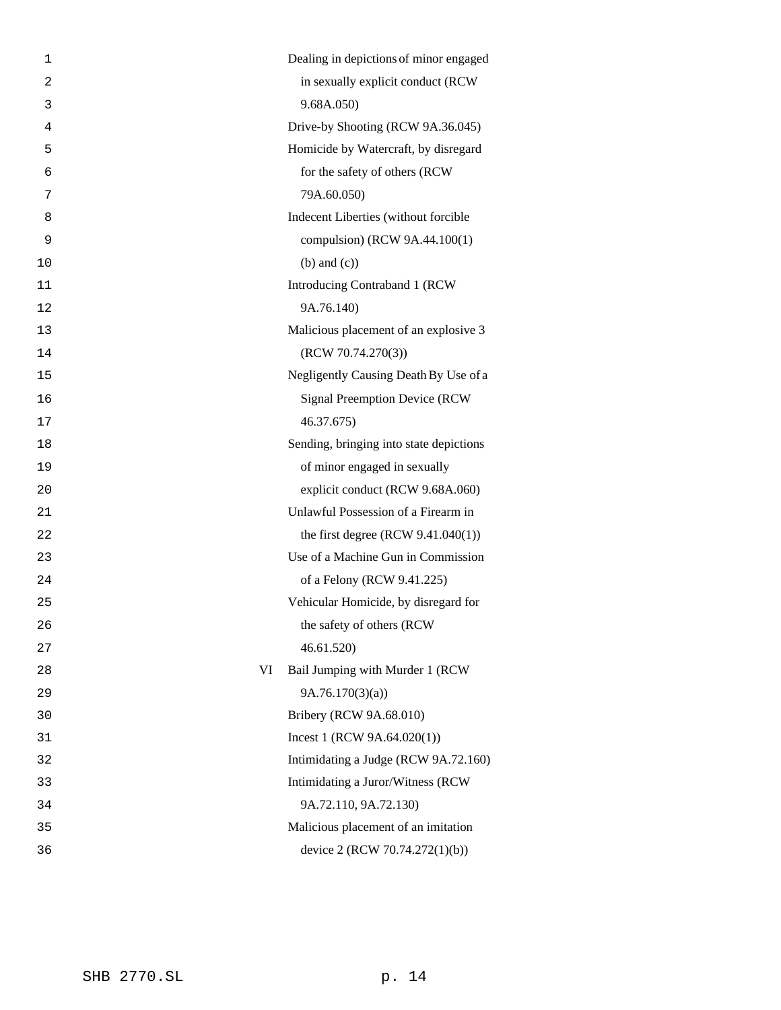| 1  |    | Dealing in depictions of minor engaged  |
|----|----|-----------------------------------------|
| 2  |    | in sexually explicit conduct (RCW       |
| 3  |    | 9.68A.050)                              |
| 4  |    | Drive-by Shooting (RCW 9A.36.045)       |
| 5  |    | Homicide by Watercraft, by disregard    |
| 6  |    | for the safety of others (RCW           |
| 7  |    | 79A.60.050)                             |
| 8  |    | Indecent Liberties (without forcible    |
| 9  |    | compulsion) (RCW 9A.44.100(1)           |
| 10 |    | $(b)$ and $(c)$ )                       |
| 11 |    | Introducing Contraband 1 (RCW           |
| 12 |    | 9A.76.140)                              |
| 13 |    | Malicious placement of an explosive 3   |
| 14 |    | (RCW 70.74.270(3))                      |
| 15 |    | Negligently Causing Death By Use of a   |
| 16 |    | <b>Signal Preemption Device (RCW)</b>   |
| 17 |    | 46.37.675)                              |
| 18 |    | Sending, bringing into state depictions |
| 19 |    | of minor engaged in sexually            |
| 20 |    | explicit conduct (RCW 9.68A.060)        |
| 21 |    | Unlawful Possession of a Firearm in     |
| 22 |    | the first degree (RCW $9.41.040(1)$ )   |
| 23 |    | Use of a Machine Gun in Commission      |
| 24 |    | of a Felony (RCW 9.41.225)              |
| 25 |    | Vehicular Homicide, by disregard for    |
| 26 |    | the safety of others (RCW               |
| 27 |    | 46.61.520                               |
| 28 | VI | Bail Jumping with Murder 1 (RCW         |
| 29 |    | 9A.76.170(3)(a)                         |
| 30 |    | Bribery (RCW 9A.68.010)                 |
| 31 |    | Incest 1 (RCW $9A.64.020(1)$ )          |
| 32 |    | Intimidating a Judge (RCW 9A.72.160)    |
| 33 |    | Intimidating a Juror/Witness (RCW       |
| 34 |    | 9A.72.110, 9A.72.130)                   |
| 35 |    | Malicious placement of an imitation     |
| 36 |    | device 2 (RCW 70.74.272(1)(b))          |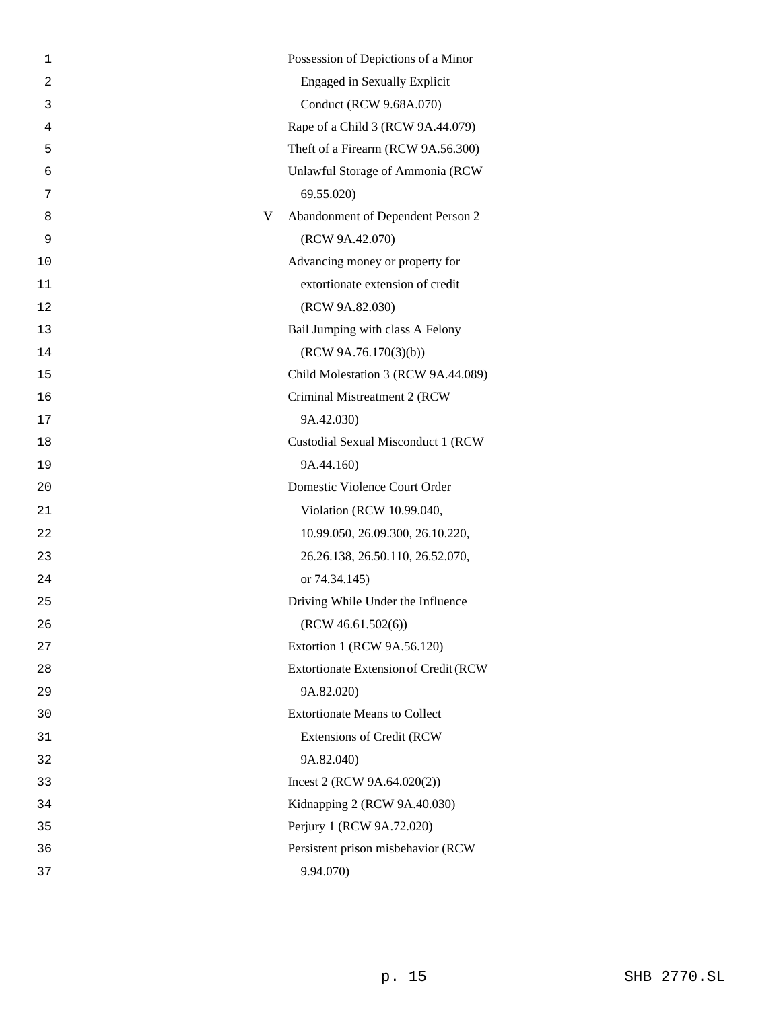| 1  |   | Possession of Depictions of a Minor   |
|----|---|---------------------------------------|
| 2  |   | <b>Engaged in Sexually Explicit</b>   |
| 3  |   | Conduct (RCW 9.68A.070)               |
| 4  |   | Rape of a Child 3 (RCW 9A.44.079)     |
| 5  |   | Theft of a Firearm (RCW 9A.56.300)    |
| 6  |   | Unlawful Storage of Ammonia (RCW      |
| 7  |   | 69.55.020)                            |
| 8  | V | Abandonment of Dependent Person 2     |
| 9  |   | (RCW 9A.42.070)                       |
| 10 |   | Advancing money or property for       |
| 11 |   | extortionate extension of credit      |
| 12 |   | (RCW 9A.82.030)                       |
| 13 |   | Bail Jumping with class A Felony      |
| 14 |   | (RCW 9A.76.170(3)(b))                 |
| 15 |   | Child Molestation 3 (RCW 9A.44.089)   |
| 16 |   | Criminal Mistreatment 2 (RCW          |
| 17 |   | 9A.42.030)                            |
| 18 |   | Custodial Sexual Misconduct 1 (RCW    |
| 19 |   | 9A.44.160)                            |
| 20 |   | Domestic Violence Court Order         |
| 21 |   | Violation (RCW 10.99.040,             |
| 22 |   | 10.99.050, 26.09.300, 26.10.220,      |
| 23 |   | 26.26.138, 26.50.110, 26.52.070,      |
| 24 |   | or 74.34.145)                         |
| 25 |   | Driving While Under the Influence     |
| 26 |   | (RCW 46.61.502(6))                    |
| 27 |   | Extortion 1 (RCW 9A.56.120)           |
| 28 |   | Extortionate Extension of Credit (RCW |
| 29 |   | 9A.82.020)                            |
| 30 |   | <b>Extortionate Means to Collect</b>  |
| 31 |   | <b>Extensions of Credit (RCW</b>      |
| 32 |   | 9A.82.040)                            |
| 33 |   | Incest 2 (RCW $9A.64.020(2)$ )        |
| 34 |   | Kidnapping 2 (RCW 9A.40.030)          |
| 35 |   | Perjury 1 (RCW 9A.72.020)             |
| 36 |   | Persistent prison misbehavior (RCW    |
| 37 |   | 9.94.070)                             |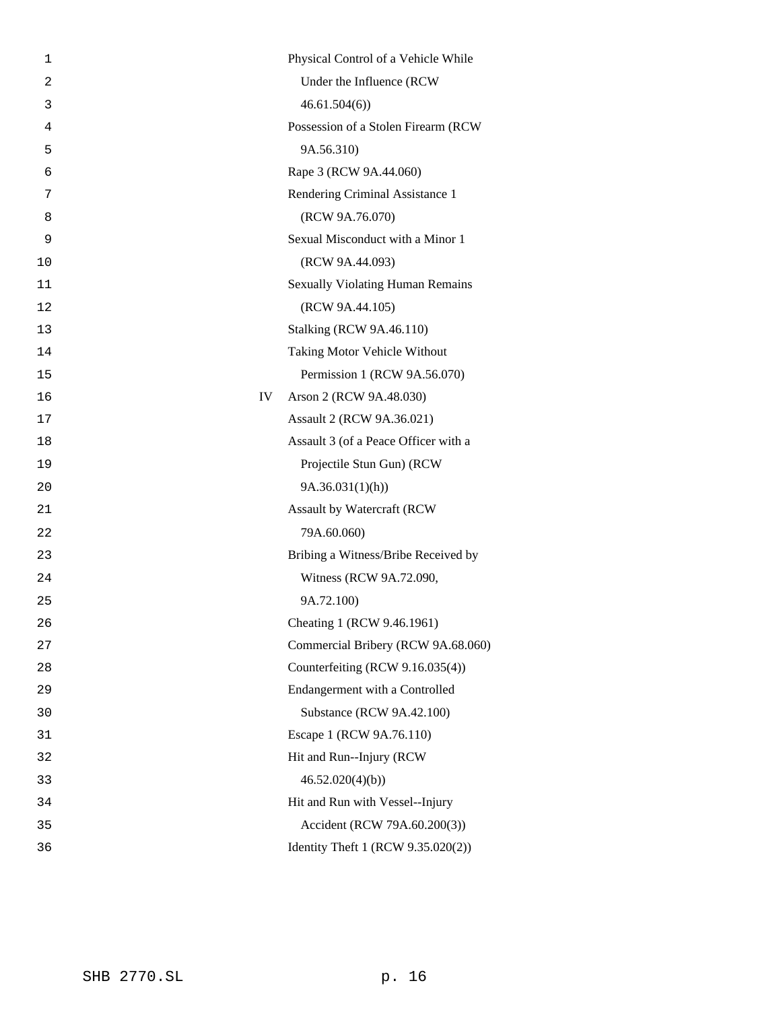| 1              | Physical Control of a Vehicle While     |
|----------------|-----------------------------------------|
| $\overline{a}$ | Under the Influence (RCW                |
| 3              | 46.61.504(6)                            |
| 4              | Possession of a Stolen Firearm (RCW     |
| 5              | 9A.56.310)                              |
| 6              | Rape 3 (RCW 9A.44.060)                  |
| 7              | Rendering Criminal Assistance 1         |
| 8              | (RCW 9A.76.070)                         |
| 9              | Sexual Misconduct with a Minor 1        |
| 10             | (RCW 9A.44.093)                         |
| 11             | <b>Sexually Violating Human Remains</b> |
| 12             | (RCW 9A.44.105)                         |
| 13             | <b>Stalking (RCW 9A.46.110)</b>         |
| 14             | Taking Motor Vehicle Without            |
| 15             | Permission 1 (RCW 9A.56.070)            |
| 16             | IV<br>Arson 2 (RCW 9A.48.030)           |
| 17             | Assault 2 (RCW 9A.36.021)               |
| 18             | Assault 3 (of a Peace Officer with a    |
| 19             | Projectile Stun Gun) (RCW               |
| 20             | 9A.36.031(1)(h)                         |
| 21             | Assault by Watercraft (RCW              |
| 22             | 79A.60.060)                             |
| 23             | Bribing a Witness/Bribe Received by     |
| 24             | Witness (RCW 9A.72.090,                 |
| 25             | 9A.72.100)                              |
| 26             | Cheating 1 (RCW 9.46.1961)              |
| 27             | Commercial Bribery (RCW 9A.68.060)      |
| 28             | Counterfeiting (RCW 9.16.035(4))        |
| 29             | Endangerment with a Controlled          |
| 30             | Substance (RCW 9A.42.100)               |
| 31             | Escape 1 (RCW 9A.76.110)                |
| 32             | Hit and Run--Injury (RCW)               |
| 33             | 46.52.020(4)(b)                         |
| 34             | Hit and Run with Vessel--Injury         |
| 35             | Accident (RCW 79A.60.200(3))            |
| 36             | Identity Theft 1 (RCW 9.35.020(2))      |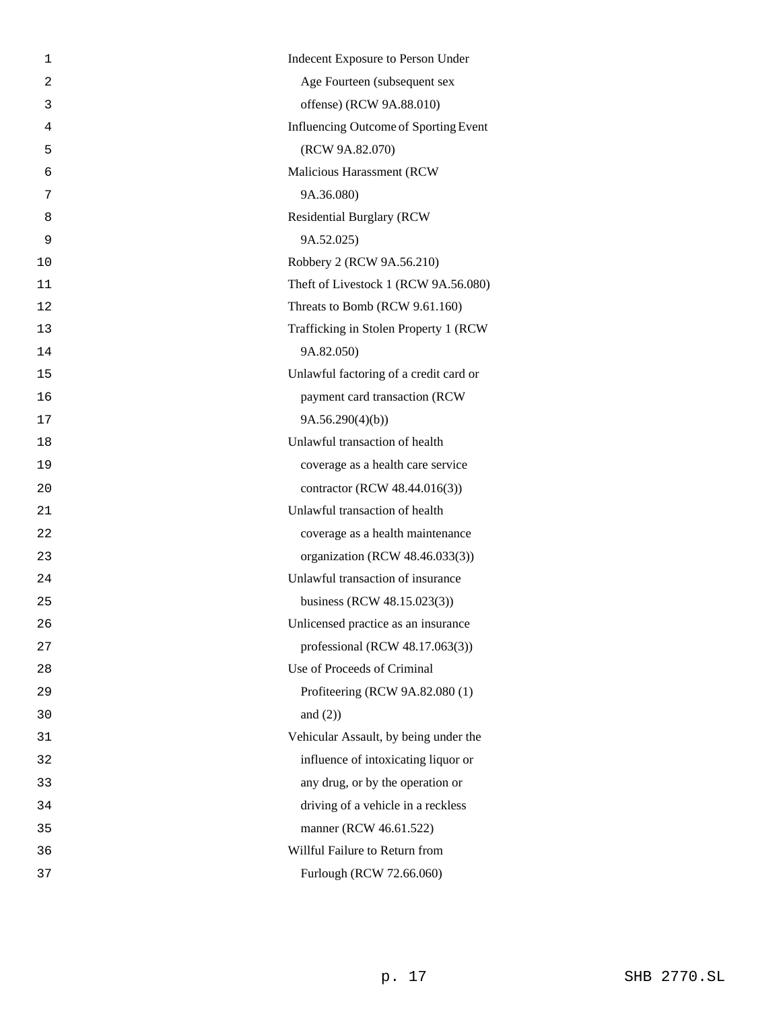| 1  | Indecent Exposure to Person Under            |
|----|----------------------------------------------|
| 2  | Age Fourteen (subsequent sex                 |
| 3  | offense) (RCW 9A.88.010)                     |
| 4  | <b>Influencing Outcome of Sporting Event</b> |
| 5  | (RCW 9A.82.070)                              |
| 6  | Malicious Harassment (RCW                    |
| 7  | 9A.36.080)                                   |
| 8  | <b>Residential Burglary (RCW)</b>            |
| 9  | 9A.52.025)                                   |
| 10 | Robbery 2 (RCW 9A.56.210)                    |
| 11 | Theft of Livestock 1 (RCW 9A.56.080)         |
| 12 | Threats to Bomb (RCW 9.61.160)               |
| 13 | Trafficking in Stolen Property 1 (RCW        |
| 14 | 9A.82.050)                                   |
| 15 | Unlawful factoring of a credit card or       |
| 16 | payment card transaction (RCW                |
| 17 | 9A.56.290(4)(b)                              |
| 18 | Unlawful transaction of health               |
| 19 | coverage as a health care service            |
| 20 | contractor (RCW 48.44.016(3))                |
| 21 | Unlawful transaction of health               |
| 22 | coverage as a health maintenance             |
| 23 | organization (RCW 48.46.033(3))              |
| 24 | Unlawful transaction of insurance            |
| 25 | business (RCW 48.15.023(3))                  |
| 26 | Unlicensed practice as an insurance          |
| 27 | professional (RCW $48.17.063(3)$ )           |
| 28 | Use of Proceeds of Criminal                  |
| 29 | Profiteering (RCW 9A.82.080 (1)              |
| 30 | and $(2)$ )                                  |
| 31 | Vehicular Assault, by being under the        |
| 32 | influence of intoxicating liquor or          |
| 33 | any drug, or by the operation or             |
| 34 | driving of a vehicle in a reckless           |
| 35 | manner (RCW 46.61.522)                       |
| 36 | Willful Failure to Return from               |
| 37 | Furlough (RCW 72.66.060)                     |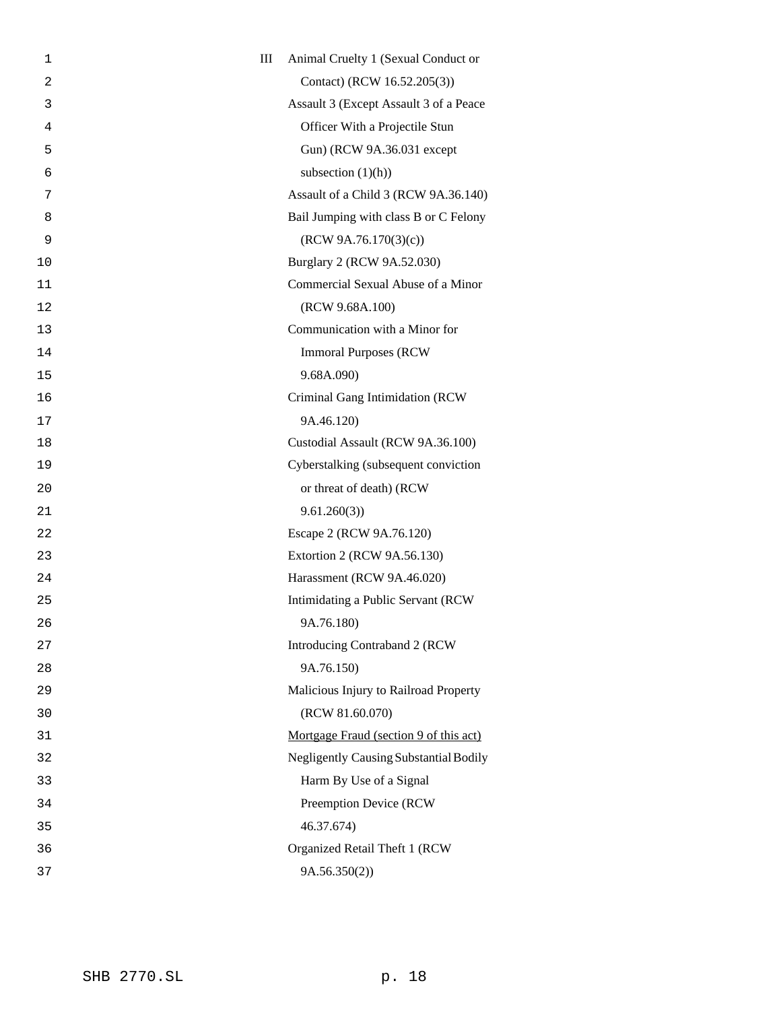| 1              | Ш | Animal Cruelty 1 (Sexual Conduct or           |
|----------------|---|-----------------------------------------------|
| $\overline{2}$ |   | Contact) (RCW 16.52.205(3))                   |
| 3              |   | Assault 3 (Except Assault 3 of a Peace        |
| 4              |   | Officer With a Projectile Stun                |
| 5              |   | Gun) (RCW 9A.36.031 except                    |
| 6              |   | subsection $(1)(h)$                           |
| 7              |   | Assault of a Child 3 (RCW 9A.36.140)          |
| 8              |   | Bail Jumping with class B or C Felony         |
| 9              |   | (RCW 9A.76.170(3)(c))                         |
| 10             |   | Burglary 2 (RCW 9A.52.030)                    |
| 11             |   | Commercial Sexual Abuse of a Minor            |
| 12             |   | (RCW 9.68A.100)                               |
| 13             |   | Communication with a Minor for                |
| 14             |   | <b>Immoral Purposes (RCW)</b>                 |
| 15             |   | 9.68A.090)                                    |
| 16             |   | Criminal Gang Intimidation (RCW               |
| 17             |   | 9A.46.120)                                    |
| 18             |   | Custodial Assault (RCW 9A.36.100)             |
| 19             |   | Cyberstalking (subsequent conviction          |
| 20             |   | or threat of death) (RCW                      |
| 21             |   | 9.61.260(3)                                   |
| 22             |   | Escape 2 (RCW 9A.76.120)                      |
| 23             |   | Extortion 2 (RCW 9A.56.130)                   |
| 24             |   | Harassment (RCW 9A.46.020)                    |
| 25             |   | Intimidating a Public Servant (RCW            |
| 26             |   | 9A.76.180)                                    |
| 27             |   | Introducing Contraband 2 (RCW                 |
| 28             |   | 9A.76.150)                                    |
| 29             |   | Malicious Injury to Railroad Property         |
| 30             |   | (RCW 81.60.070)                               |
| 31             |   | Mortgage Fraud (section 9 of this act)        |
| 32             |   | <b>Negligently Causing Substantial Bodily</b> |
| 33             |   | Harm By Use of a Signal                       |
| 34             |   | Preemption Device (RCW                        |
| 35             |   | 46.37.674)                                    |
| 36             |   | Organized Retail Theft 1 (RCW                 |
| 37             |   | 9A.56.350(2))                                 |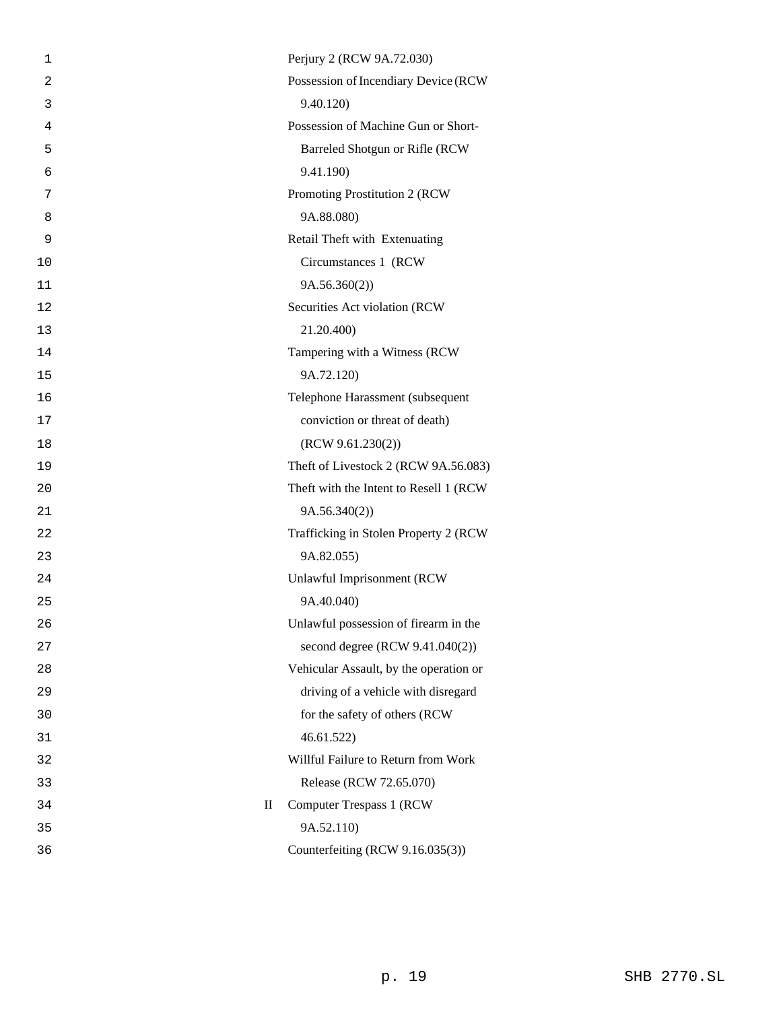| 1  |              | Perjury 2 (RCW 9A.72.030)               |
|----|--------------|-----------------------------------------|
| 2  |              | Possession of Incendiary Device (RCW    |
| 3  |              | 9.40.120)                               |
| 4  |              | Possession of Machine Gun or Short-     |
| 5  |              | Barreled Shotgun or Rifle (RCW          |
| 6  |              | 9.41.190)                               |
| 7  |              | Promoting Prostitution 2 (RCW           |
| 8  |              | 9A.88.080)                              |
| 9  |              | Retail Theft with Extenuating           |
| 10 |              | Circumstances 1 (RCW                    |
| 11 |              | 9A.56.360(2))                           |
| 12 |              | Securities Act violation (RCW           |
| 13 |              | 21.20.400)                              |
| 14 |              | Tampering with a Witness (RCW           |
| 15 |              | 9A.72.120)                              |
| 16 |              | Telephone Harassment (subsequent        |
| 17 |              | conviction or threat of death)          |
| 18 |              | (RCW 9.61.230(2))                       |
| 19 |              | Theft of Livestock 2 (RCW 9A.56.083)    |
| 20 |              | Theft with the Intent to Resell 1 (RCW) |
| 21 |              | 9A.56.340(2)                            |
| 22 |              | Trafficking in Stolen Property 2 (RCW   |
| 23 |              | 9A.82.055)                              |
| 24 |              | Unlawful Imprisonment (RCW              |
| 25 |              | 9A.40.040)                              |
| 26 |              | Unlawful possession of firearm in the   |
| 27 |              | second degree (RCW 9.41.040(2))         |
| 28 |              | Vehicular Assault, by the operation or  |
| 29 |              | driving of a vehicle with disregard     |
| 30 |              | for the safety of others (RCW           |
| 31 |              | 46.61.522                               |
| 32 |              | Willful Failure to Return from Work     |
| 33 |              | Release (RCW 72.65.070)                 |
| 34 | $\mathbf{I}$ | Computer Trespass 1 (RCW)               |
| 35 |              | 9A.52.110)                              |
| 36 |              | Counterfeiting (RCW 9.16.035(3))        |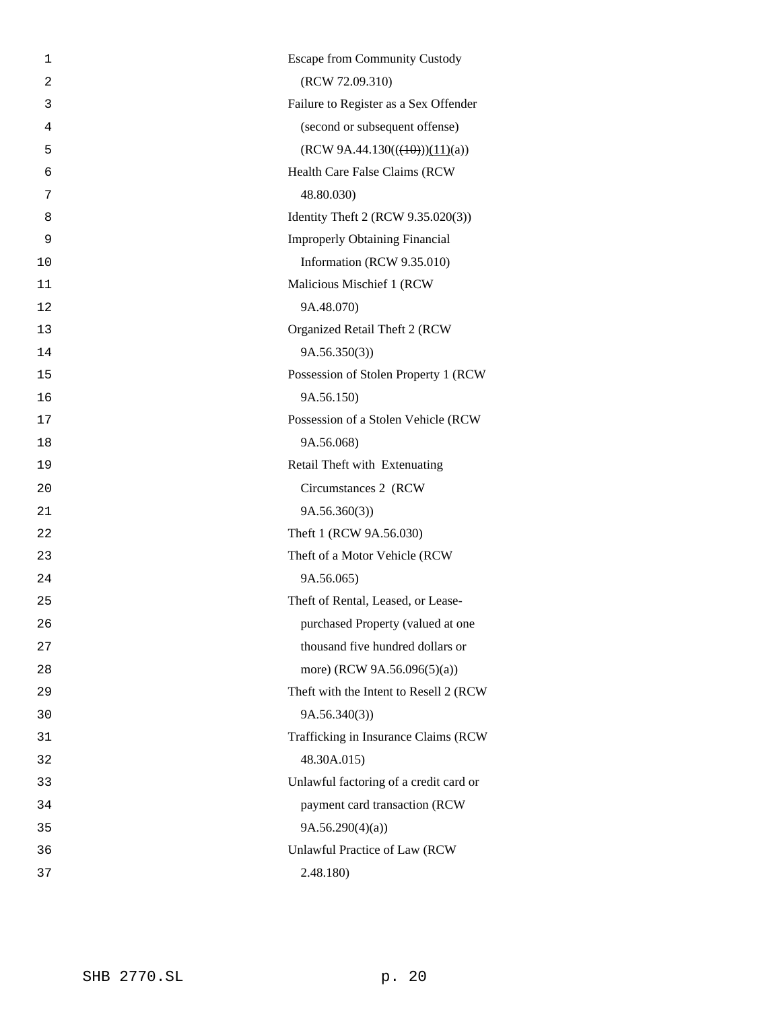| 1              | <b>Escape from Community Custody</b>   |
|----------------|----------------------------------------|
| $\overline{a}$ | (RCW 72.09.310)                        |
| 3              | Failure to Register as a Sex Offender  |
| 4              | (second or subsequent offense)         |
| 5              | $(RCW 9A.44.130(((+\theta)))(11)(a))$  |
| 6              | Health Care False Claims (RCW          |
| 7              | 48.80.030)                             |
| 8              | Identity Theft 2 (RCW 9.35.020(3))     |
| 9              | <b>Improperly Obtaining Financial</b>  |
| 10             | Information (RCW 9.35.010)             |
| 11             | Malicious Mischief 1 (RCW              |
| 12             | 9A.48.070)                             |
| 13             | Organized Retail Theft 2 (RCW          |
| 14             | 9A.56.350(3)                           |
| 15             | Possession of Stolen Property 1 (RCW   |
| 16             | 9A.56.150)                             |
| 17             | Possession of a Stolen Vehicle (RCW    |
| 18             | 9A.56.068)                             |
| 19             | Retail Theft with Extenuating          |
| 20             | Circumstances 2 (RCW                   |
| 21             | 9A.56.360(3)                           |
| 22             | Theft 1 (RCW 9A.56.030)                |
| 23             | Theft of a Motor Vehicle (RCW          |
| 24             | 9A.56.065)                             |
| 25             | Theft of Rental, Leased, or Lease-     |
| 26             | purchased Property (valued at one      |
| 27             | thousand five hundred dollars or       |
| 28             | more) (RCW 9A.56.096(5)(a))            |
| 29             | Theft with the Intent to Resell 2 (RCW |
| 30             | 9A.56.340(3)                           |
| 31             | Trafficking in Insurance Claims (RCW   |
| 32             | 48.30A.015)                            |
| 33             | Unlawful factoring of a credit card or |
| 34             | payment card transaction (RCW          |
| 35             | 9A.56.290(4)(a)                        |
| 36             | Unlawful Practice of Law (RCW          |
| 37             | 2.48.180)                              |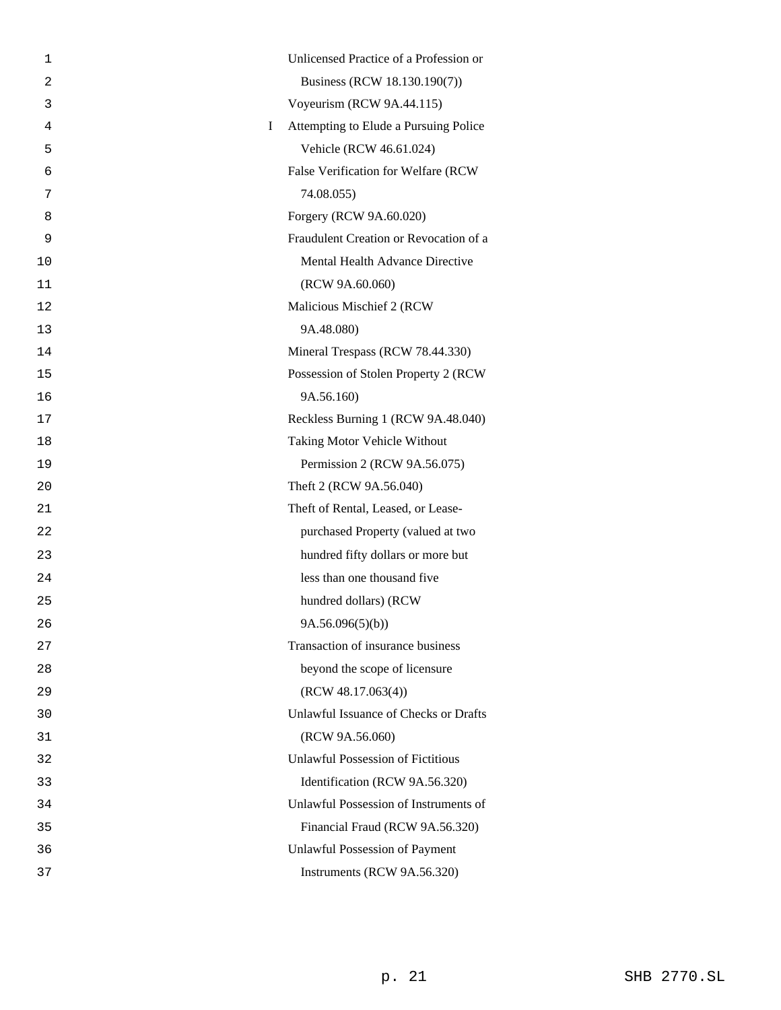| 1  | Unlicensed Practice of a Profession or     |
|----|--------------------------------------------|
| 2  | Business (RCW 18.130.190(7))               |
| 3  | Voyeurism (RCW 9A.44.115)                  |
| 4  | Attempting to Elude a Pursuing Police<br>Ι |
| 5  | Vehicle (RCW 46.61.024)                    |
| 6  | False Verification for Welfare (RCW        |
| 7  | 74.08.055)                                 |
| 8  | Forgery (RCW 9A.60.020)                    |
| 9  | Fraudulent Creation or Revocation of a     |
| 10 | Mental Health Advance Directive            |
| 11 | (RCW 9A.60.060)                            |
| 12 | Malicious Mischief 2 (RCW                  |
| 13 | 9A.48.080)                                 |
| 14 | Mineral Trespass (RCW 78.44.330)           |
| 15 | Possession of Stolen Property 2 (RCW       |
| 16 | 9A.56.160)                                 |
| 17 | Reckless Burning 1 (RCW 9A.48.040)         |
| 18 | Taking Motor Vehicle Without               |
| 19 | Permission 2 (RCW 9A.56.075)               |
| 20 | Theft 2 (RCW 9A.56.040)                    |
| 21 | Theft of Rental, Leased, or Lease-         |
| 22 | purchased Property (valued at two          |
| 23 | hundred fifty dollars or more but          |
| 24 | less than one thousand five                |
| 25 | hundred dollars) (RCW                      |
| 26 | 9A.56.096(5)(b))                           |
| 27 | Transaction of insurance business          |
| 28 | beyond the scope of licensure              |
| 29 | (RCW 48.17.063(4))                         |
| 30 | Unlawful Issuance of Checks or Drafts      |
| 31 | (RCW 9A.56.060)                            |
| 32 | <b>Unlawful Possession of Fictitious</b>   |
| 33 | Identification (RCW 9A.56.320)             |
| 34 | Unlawful Possession of Instruments of      |
| 35 | Financial Fraud (RCW 9A.56.320)            |
| 36 | <b>Unlawful Possession of Payment</b>      |
| 37 | Instruments (RCW 9A.56.320)                |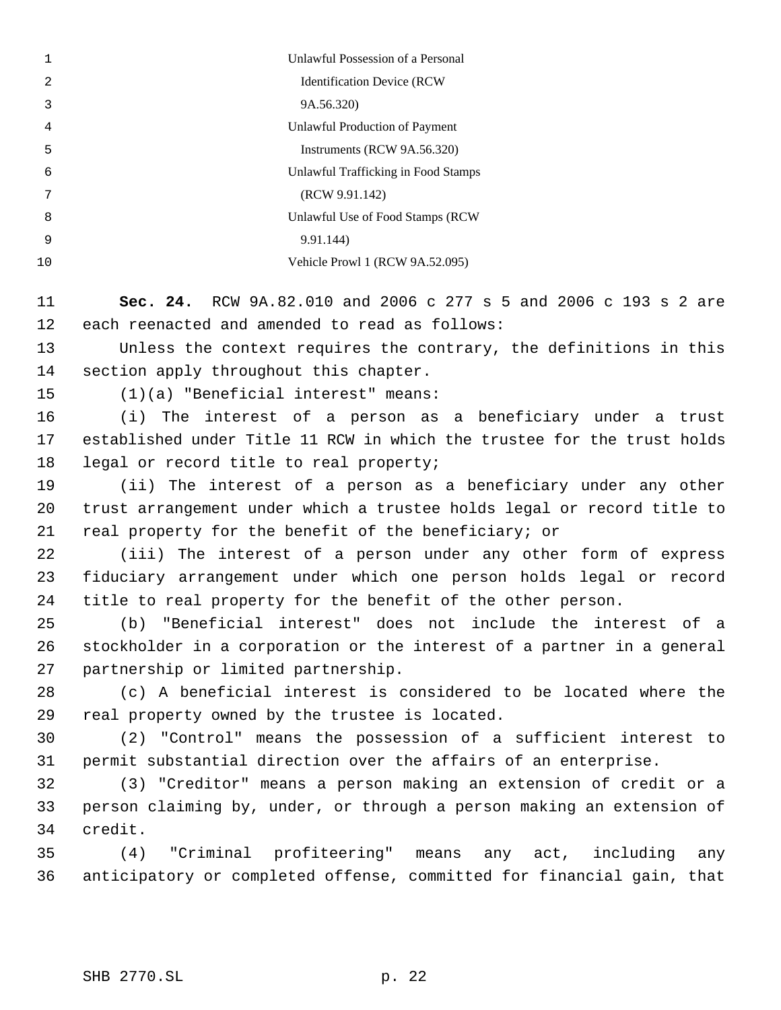|    | Unlawful Possession of a Personal   |
|----|-------------------------------------|
| 2  | <b>Identification Device (RCW</b>   |
| 3  | 9A.56.320)                          |
| 4  | Unlawful Production of Payment      |
| 5  | Instruments (RCW 9A.56.320)         |
| 6  | Unlawful Trafficking in Food Stamps |
| 7  | (RCW 9.91.142)                      |
| 8  | Unlawful Use of Food Stamps (RCW)   |
| 9  | 9.91.144                            |
| 10 | Vehicle Prowl 1 (RCW 9A.52.095)     |
|    |                                     |

 **Sec. 24.** RCW 9A.82.010 and 2006 c 277 s 5 and 2006 c 193 s 2 are each reenacted and amended to read as follows:

 Unless the context requires the contrary, the definitions in this section apply throughout this chapter.

(1)(a) "Beneficial interest" means:

 (i) The interest of a person as a beneficiary under a trust established under Title 11 RCW in which the trustee for the trust holds 18 legal or record title to real property;

 (ii) The interest of a person as a beneficiary under any other trust arrangement under which a trustee holds legal or record title to real property for the benefit of the beneficiary; or

 (iii) The interest of a person under any other form of express fiduciary arrangement under which one person holds legal or record title to real property for the benefit of the other person.

 (b) "Beneficial interest" does not include the interest of a stockholder in a corporation or the interest of a partner in a general partnership or limited partnership.

 (c) A beneficial interest is considered to be located where the real property owned by the trustee is located.

 (2) "Control" means the possession of a sufficient interest to permit substantial direction over the affairs of an enterprise.

 (3) "Creditor" means a person making an extension of credit or a person claiming by, under, or through a person making an extension of credit.

 (4) "Criminal profiteering" means any act, including any anticipatory or completed offense, committed for financial gain, that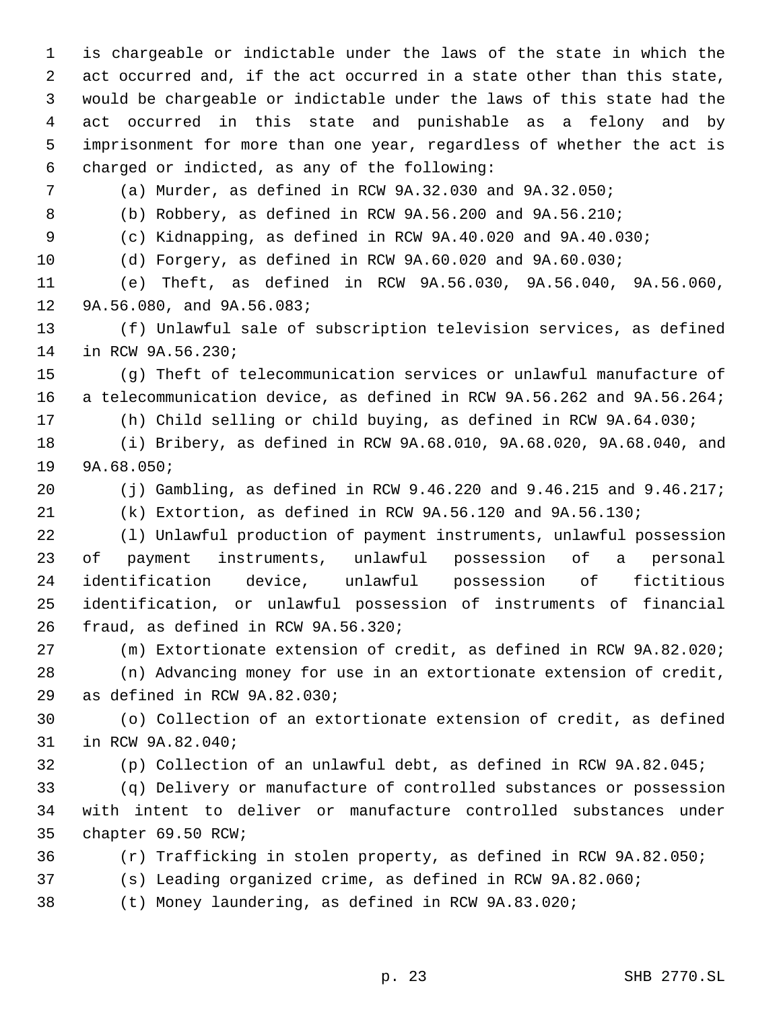is chargeable or indictable under the laws of the state in which the act occurred and, if the act occurred in a state other than this state, would be chargeable or indictable under the laws of this state had the act occurred in this state and punishable as a felony and by imprisonment for more than one year, regardless of whether the act is charged or indicted, as any of the following: (a) Murder, as defined in RCW 9A.32.030 and 9A.32.050; (b) Robbery, as defined in RCW 9A.56.200 and 9A.56.210; (c) Kidnapping, as defined in RCW 9A.40.020 and 9A.40.030; (d) Forgery, as defined in RCW 9A.60.020 and 9A.60.030; (e) Theft, as defined in RCW 9A.56.030, 9A.56.040, 9A.56.060, 9A.56.080, and 9A.56.083; (f) Unlawful sale of subscription television services, as defined in RCW 9A.56.230; (g) Theft of telecommunication services or unlawful manufacture of a telecommunication device, as defined in RCW 9A.56.262 and 9A.56.264; (h) Child selling or child buying, as defined in RCW 9A.64.030; (i) Bribery, as defined in RCW 9A.68.010, 9A.68.020, 9A.68.040, and 9A.68.050; (j) Gambling, as defined in RCW 9.46.220 and 9.46.215 and 9.46.217; (k) Extortion, as defined in RCW 9A.56.120 and 9A.56.130; (l) Unlawful production of payment instruments, unlawful possession of payment instruments, unlawful possession of a personal identification device, unlawful possession of fictitious identification, or unlawful possession of instruments of financial fraud, as defined in RCW 9A.56.320; (m) Extortionate extension of credit, as defined in RCW 9A.82.020; (n) Advancing money for use in an extortionate extension of credit, as defined in RCW 9A.82.030; (o) Collection of an extortionate extension of credit, as defined in RCW 9A.82.040; (p) Collection of an unlawful debt, as defined in RCW 9A.82.045; (q) Delivery or manufacture of controlled substances or possession with intent to deliver or manufacture controlled substances under chapter 69.50 RCW; (r) Trafficking in stolen property, as defined in RCW 9A.82.050; (s) Leading organized crime, as defined in RCW 9A.82.060; (t) Money laundering, as defined in RCW 9A.83.020;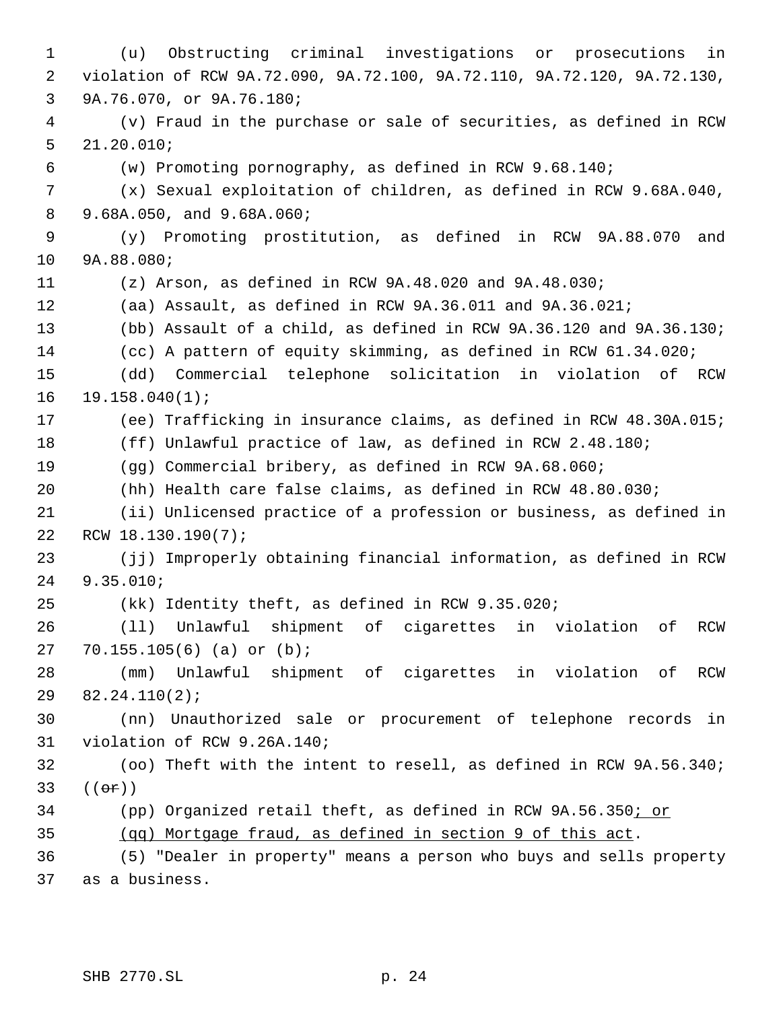(u) Obstructing criminal investigations or prosecutions in violation of RCW 9A.72.090, 9A.72.100, 9A.72.110, 9A.72.120, 9A.72.130, 9A.76.070, or 9A.76.180; (v) Fraud in the purchase or sale of securities, as defined in RCW 21.20.010; (w) Promoting pornography, as defined in RCW 9.68.140; (x) Sexual exploitation of children, as defined in RCW 9.68A.040, 9.68A.050, and 9.68A.060; (y) Promoting prostitution, as defined in RCW 9A.88.070 and 9A.88.080; (z) Arson, as defined in RCW 9A.48.020 and 9A.48.030; (aa) Assault, as defined in RCW 9A.36.011 and 9A.36.021; (bb) Assault of a child, as defined in RCW 9A.36.120 and 9A.36.130; (cc) A pattern of equity skimming, as defined in RCW 61.34.020; (dd) Commercial telephone solicitation in violation of RCW 19.158.040(1); (ee) Trafficking in insurance claims, as defined in RCW 48.30A.015; (ff) Unlawful practice of law, as defined in RCW 2.48.180; (gg) Commercial bribery, as defined in RCW 9A.68.060; (hh) Health care false claims, as defined in RCW 48.80.030; (ii) Unlicensed practice of a profession or business, as defined in RCW 18.130.190(7); (jj) Improperly obtaining financial information, as defined in RCW 9.35.010; (kk) Identity theft, as defined in RCW 9.35.020; (ll) Unlawful shipment of cigarettes in violation of RCW 70.155.105(6) (a) or (b); (mm) Unlawful shipment of cigarettes in violation of RCW 82.24.110(2); (nn) Unauthorized sale or procurement of telephone records in violation of RCW 9.26A.140; (oo) Theft with the intent to resell, as defined in RCW 9A.56.340;  $((e^e)^s)$  (pp) Organized retail theft, as defined in RCW 9A.56.350; or (qq) Mortgage fraud, as defined in section 9 of this act. (5) "Dealer in property" means a person who buys and sells property as a business.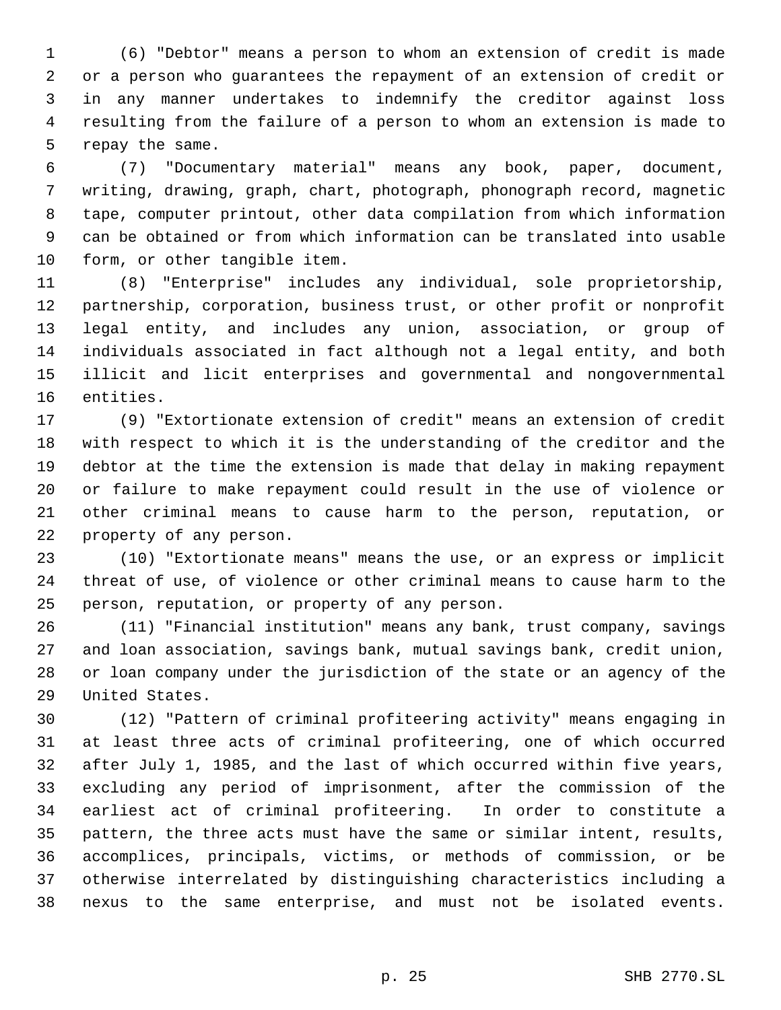(6) "Debtor" means a person to whom an extension of credit is made or a person who guarantees the repayment of an extension of credit or in any manner undertakes to indemnify the creditor against loss resulting from the failure of a person to whom an extension is made to repay the same.

 (7) "Documentary material" means any book, paper, document, writing, drawing, graph, chart, photograph, phonograph record, magnetic tape, computer printout, other data compilation from which information can be obtained or from which information can be translated into usable form, or other tangible item.

 (8) "Enterprise" includes any individual, sole proprietorship, partnership, corporation, business trust, or other profit or nonprofit legal entity, and includes any union, association, or group of individuals associated in fact although not a legal entity, and both illicit and licit enterprises and governmental and nongovernmental entities.

 (9) "Extortionate extension of credit" means an extension of credit with respect to which it is the understanding of the creditor and the debtor at the time the extension is made that delay in making repayment or failure to make repayment could result in the use of violence or other criminal means to cause harm to the person, reputation, or property of any person.

 (10) "Extortionate means" means the use, or an express or implicit threat of use, of violence or other criminal means to cause harm to the person, reputation, or property of any person.

 (11) "Financial institution" means any bank, trust company, savings and loan association, savings bank, mutual savings bank, credit union, or loan company under the jurisdiction of the state or an agency of the United States.

 (12) "Pattern of criminal profiteering activity" means engaging in at least three acts of criminal profiteering, one of which occurred after July 1, 1985, and the last of which occurred within five years, excluding any period of imprisonment, after the commission of the earliest act of criminal profiteering. In order to constitute a pattern, the three acts must have the same or similar intent, results, accomplices, principals, victims, or methods of commission, or be otherwise interrelated by distinguishing characteristics including a nexus to the same enterprise, and must not be isolated events.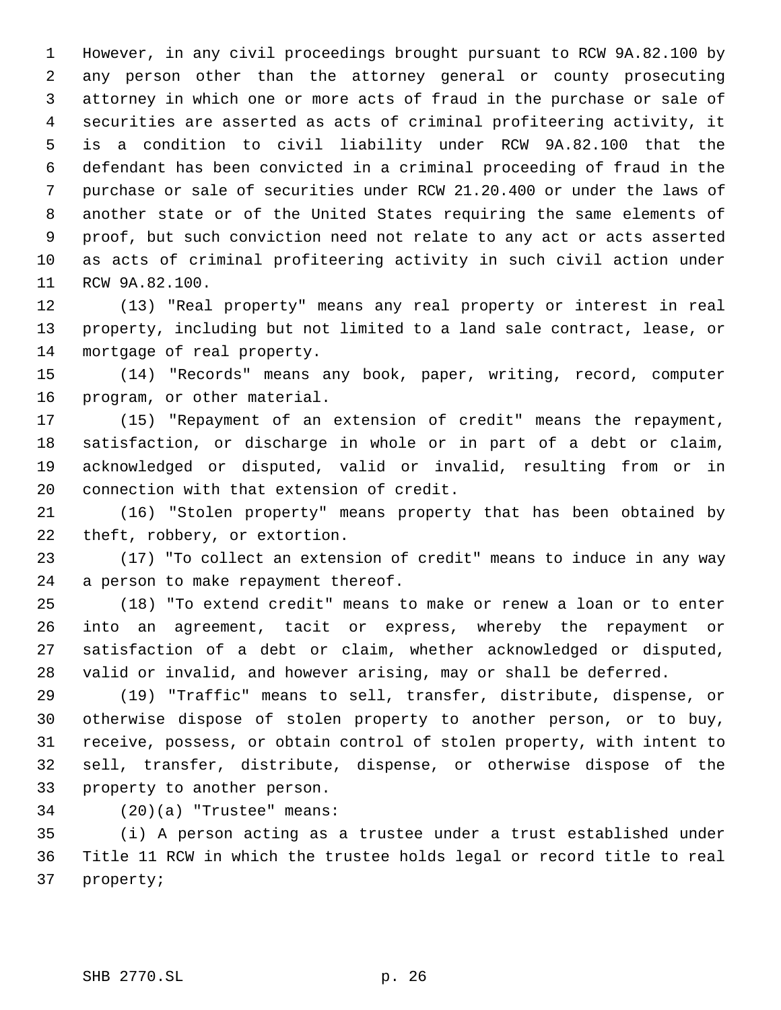However, in any civil proceedings brought pursuant to RCW 9A.82.100 by any person other than the attorney general or county prosecuting attorney in which one or more acts of fraud in the purchase or sale of securities are asserted as acts of criminal profiteering activity, it is a condition to civil liability under RCW 9A.82.100 that the defendant has been convicted in a criminal proceeding of fraud in the purchase or sale of securities under RCW 21.20.400 or under the laws of another state or of the United States requiring the same elements of proof, but such conviction need not relate to any act or acts asserted as acts of criminal profiteering activity in such civil action under RCW 9A.82.100.

 (13) "Real property" means any real property or interest in real property, including but not limited to a land sale contract, lease, or mortgage of real property.

 (14) "Records" means any book, paper, writing, record, computer program, or other material.

 (15) "Repayment of an extension of credit" means the repayment, satisfaction, or discharge in whole or in part of a debt or claim, acknowledged or disputed, valid or invalid, resulting from or in connection with that extension of credit.

 (16) "Stolen property" means property that has been obtained by theft, robbery, or extortion.

 (17) "To collect an extension of credit" means to induce in any way a person to make repayment thereof.

 (18) "To extend credit" means to make or renew a loan or to enter into an agreement, tacit or express, whereby the repayment or satisfaction of a debt or claim, whether acknowledged or disputed, valid or invalid, and however arising, may or shall be deferred.

 (19) "Traffic" means to sell, transfer, distribute, dispense, or otherwise dispose of stolen property to another person, or to buy, receive, possess, or obtain control of stolen property, with intent to sell, transfer, distribute, dispense, or otherwise dispose of the property to another person.

(20)(a) "Trustee" means:

 (i) A person acting as a trustee under a trust established under Title 11 RCW in which the trustee holds legal or record title to real property;